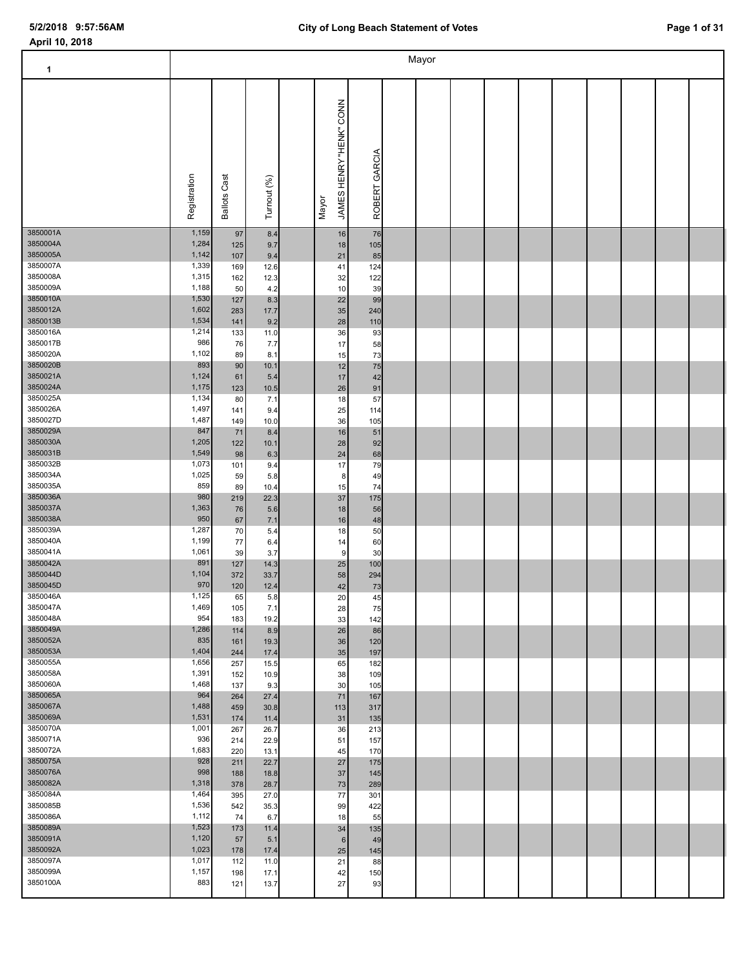| 1                    |                |                        |              |                                  |                  | Mayor |  |  |  |  |
|----------------------|----------------|------------------------|--------------|----------------------------------|------------------|-------|--|--|--|--|
|                      | Registration   | Cast<br><b>Ballots</b> | Turnout (%)  | JAMES HENRY "HENK" CONN<br>Mayor | GARCIA<br>ROBERT |       |  |  |  |  |
| 3850001A             | 1,159          | 97                     | 8.4          | 16                               | 76               |       |  |  |  |  |
| 3850004A<br>3850005A | 1,284<br>1,142 | 125                    | 9.7          | 18                               | 105              |       |  |  |  |  |
| 3850007A             | 1,339          | 107<br>169             | 9.4<br>12.6  | 21<br>41                         | 85<br>124        |       |  |  |  |  |
| 3850008A             | 1,315          | 162                    | 12.3         | 32                               | 122              |       |  |  |  |  |
| 3850009A<br>3850010A | 1,188<br>1,530 | 50<br>127              | 4.2<br>8.3   | 10<br>22                         | 39<br>99         |       |  |  |  |  |
| 3850012A             | 1,602          | 283                    | 17.7         | 35                               | 240              |       |  |  |  |  |
| 3850013B             | 1,534          | 141                    | 9.2          | 28                               | 110              |       |  |  |  |  |
| 3850016A<br>3850017B | 1,214<br>986   | 133<br>76              | 11.0<br>7.7  | 36<br>17                         | 93<br>58         |       |  |  |  |  |
| 3850020A             | 1,102          | 89                     | 8.1          | 15                               | 73               |       |  |  |  |  |
| 3850020B<br>3850021A | 893<br>1,124   | 90                     | 10.1         | 12                               | 75               |       |  |  |  |  |
| 3850024A             | 1,175          | 61<br>123              | 5.4<br>10.5  | 17<br>26                         | 42<br>91         |       |  |  |  |  |
| 3850025A             | 1,134          | 80                     | 7.1          | 18                               | 57               |       |  |  |  |  |
| 3850026A<br>3850027D | 1,497<br>1,487 | 141<br>149             | 9.4<br>10.0  | 25<br>36                         | 114<br>105       |       |  |  |  |  |
| 3850029A             | 847            | 71                     | 8.4          | 16                               | 51               |       |  |  |  |  |
| 3850030A             | 1,205          | 122                    | 10.1         | 28                               | 92               |       |  |  |  |  |
| 3850031B<br>3850032B | 1,549<br>1,073 | 98<br>101              | 6.3<br>9.4   | 24<br>17                         | 68<br>79         |       |  |  |  |  |
| 3850034A             | 1,025          | 59                     | 5.8          | 8                                | 49               |       |  |  |  |  |
| 3850035A<br>3850036A | 859<br>980     | 89                     | 10.4         | 15<br>37                         | 74               |       |  |  |  |  |
| 3850037A             | 1,363          | 219<br>76              | 22.3<br>5.6  | 18                               | 175<br>56        |       |  |  |  |  |
| 3850038A             | 950            | 67                     | 7.1          | 16                               | 48               |       |  |  |  |  |
| 3850039A<br>3850040A | 1,287<br>1,199 | 70<br>77               | 5.4<br>6.4   | 18<br>14                         | 50<br>60         |       |  |  |  |  |
| 3850041A             | 1,061          | 39                     | 3.7          | 9                                | 30               |       |  |  |  |  |
| 3850042A<br>3850044D | 891<br>1,104   | 127                    | 14.3         | 25<br>58                         | 100              |       |  |  |  |  |
| 3850045D             | 970            | 372<br>120             | 33.7<br>12.4 | 42                               | 294<br>73        |       |  |  |  |  |
| 3850046A             | 1,125          | 65                     | 5.8          | 20                               | 45               |       |  |  |  |  |
| 3850047A<br>3850048A | 1,469<br>954   | 105<br>183             | 7.1<br>19.2  | 28<br>33                         | 75<br>142        |       |  |  |  |  |
| 3850049A             | 1,286          | 114                    | 8.9          | 26                               | 86               |       |  |  |  |  |
| 3850052A<br>3850053A | 835<br>1,404   | 161                    | 19.3<br>17.4 | 36<br>35                         | 120<br>197       |       |  |  |  |  |
| 3850055A             | 1,656          | 244<br>257             | 15.5         | 65                               | 182              |       |  |  |  |  |
| 3850058A             | 1,391          | 152                    | 10.9         | 38                               | 109              |       |  |  |  |  |
| 3850060A<br>3850065A | 1,468<br>964   | 137<br>264             | 9.3<br>27.4  | 30<br>71                         | 105<br>167       |       |  |  |  |  |
| 3850067A             | 1,488          | 459                    | 30.8         | 113                              | 317              |       |  |  |  |  |
| 3850069A<br>3850070A | 1,531<br>1,001 | 174<br>267             | 11.4         | 31                               | 135              |       |  |  |  |  |
| 3850071A             | 936            | 214                    | 26.7<br>22.9 | 36<br>51                         | 213<br>157       |       |  |  |  |  |
| 3850072A             | 1,683          | 220                    | 13.1         | 45                               | 170              |       |  |  |  |  |
| 3850075A<br>3850076A | 928<br>998     | 211<br>188             | 22.7<br>18.8 | 27<br>37                         | 175<br>145       |       |  |  |  |  |
| 3850082A             | 1,318          | 378                    | 28.7         | 73                               | 289              |       |  |  |  |  |
| 3850084A<br>3850085B | 1,464<br>1,536 | 395                    | 27.0         | 77                               | 301              |       |  |  |  |  |
| 3850086A             | 1,112          | 542<br>74              | 35.3<br>6.7  | 99<br>18                         | 422<br>55        |       |  |  |  |  |
| 3850089A             | 1,523          | 173                    | 11.4         | 34                               | 135              |       |  |  |  |  |
| 3850091A<br>3850092A | 1,120<br>1,023 | 57<br>178              | 5.1<br>17.4  | $\,6$<br>25                      | 49<br>145        |       |  |  |  |  |
| 3850097A             | 1,017          | 112                    | 11.0         | 21                               | 88               |       |  |  |  |  |
| 3850099A<br>3850100A | 1,157<br>883   | 198                    | 17.1         | 42                               | 150              |       |  |  |  |  |
|                      |                | 121                    | 13.7         | 27                               | 93               |       |  |  |  |  |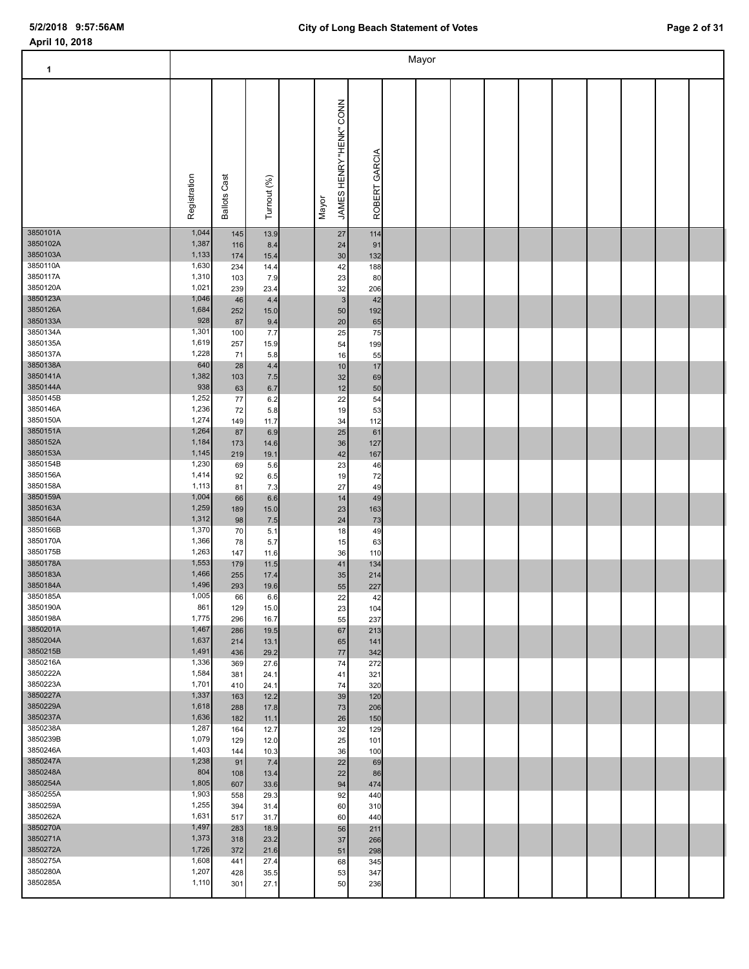| 1                    |                |                     |              |                                  |                         | Mayor |  |  |  |  |
|----------------------|----------------|---------------------|--------------|----------------------------------|-------------------------|-------|--|--|--|--|
|                      | Registration   | <b>Ballots Cast</b> | Turnout (%)  | JAMES HENRY "HENK" CONN<br>Mayor | GARCIA<br><b>ROBERT</b> |       |  |  |  |  |
| 3850101A<br>3850102A | 1,044<br>1,387 | 145<br>116          | 13.9<br>8.4  | 27<br>24                         | 114<br>91               |       |  |  |  |  |
| 3850103A<br>3850110A | 1,133<br>1,630 | 174<br>234          | 15.4<br>14.4 | 30<br>42                         | 132<br>188              |       |  |  |  |  |
| 3850117A             | 1,310          | 103                 | 7.9          | 23                               | 80                      |       |  |  |  |  |
| 3850120A<br>3850123A | 1,021<br>1,046 | 239<br>46           | 23.4<br>4.4  | 32<br>$\mathsf 3$                | 206<br>42               |       |  |  |  |  |
| 3850126A             | 1,684          | 252                 | 15.0         | 50                               | 192                     |       |  |  |  |  |
| 3850133A<br>3850134A | 928<br>1,301   | 87                  | 9.4          | 20                               | 65                      |       |  |  |  |  |
| 3850135A             | 1,619          | 100<br>257          | 7.7<br>15.9  | 25<br>54                         | 75<br>199               |       |  |  |  |  |
| 3850137A             | 1,228          | 71                  | 5.8          | 16                               | 55                      |       |  |  |  |  |
| 3850138A<br>3850141A | 640<br>1,382   | 28<br>103           | 4.4<br>7.5   | 10<br>32                         | 17<br>69                |       |  |  |  |  |
| 3850144A             | 938            | 63                  | 6.7          | 12                               | 50                      |       |  |  |  |  |
| 3850145B<br>3850146A | 1,252<br>1,236 | 77<br>72            | 6.2<br>5.8   | 22<br>19                         | 54<br>53                |       |  |  |  |  |
| 3850150A             | 1,274          | 149                 | 11.7         | 34                               | 112                     |       |  |  |  |  |
| 3850151A<br>3850152A | 1,264<br>1,184 | 87                  | 6.9          | 25                               | 61                      |       |  |  |  |  |
| 3850153A             | 1,145          | 173<br>219          | 14.6<br>19.1 | 36<br>42                         | 127<br>167              |       |  |  |  |  |
| 3850154B             | 1,230          | 69                  | 5.6          | 23                               | 46                      |       |  |  |  |  |
| 3850156A<br>3850158A | 1,414<br>1,113 | 92<br>81            | 6.5<br>7.3   | 19<br>27                         | 72<br>49                |       |  |  |  |  |
| 3850159A             | 1,004          | 66                  | 6.6          | 14                               | 49                      |       |  |  |  |  |
| 3850163A<br>3850164A | 1,259<br>1,312 | 189<br>98           | 15.0<br>7.5  | 23<br>24                         | 163<br>73               |       |  |  |  |  |
| 3850166B             | 1,370          | 70                  | 5.1          | 18                               | 49                      |       |  |  |  |  |
| 3850170A<br>3850175B | 1,366          | 78                  | 5.7          | 15                               | 63                      |       |  |  |  |  |
| 3850178A             | 1,263<br>1,553 | 147<br>179          | 11.6<br>11.5 | 36<br>41                         | 110<br>134              |       |  |  |  |  |
| 3850183A             | 1,466          | 255                 | 17.4         | 35                               | 214                     |       |  |  |  |  |
| 3850184A<br>3850185A | 1,496<br>1,005 | 293<br>66           | 19.6<br>6.6  | 55<br>22                         | 227<br>42               |       |  |  |  |  |
| 3850190A             | 861            | 129                 | 15.0         | 23                               | 104                     |       |  |  |  |  |
| 3850198A<br>3850201A | 1,775<br>1,467 | 296                 | 16.7         | 55                               | 237                     |       |  |  |  |  |
| 3850204A             | 1,637          | 286<br>214          | 19.5<br>13.1 | 67<br>65                         | 213<br>141              |       |  |  |  |  |
| 3850215B             | 1,491          | 436                 | 29.2         | 77                               | 342                     |       |  |  |  |  |
| 3850216A<br>3850222A | 1,336<br>1,584 | 369<br>381          | 27.6<br>24.1 | 74<br>41                         | 272<br>321              |       |  |  |  |  |
| 3850223A             | 1,701          | 410                 | 24.1         | 74                               | 320                     |       |  |  |  |  |
| 3850227A<br>3850229A | 1,337<br>1,618 | 163<br>288          | 12.2<br>17.8 | 39<br>73                         | 120<br>206              |       |  |  |  |  |
| 3850237A             | 1,636          | 182                 | 11.1         | 26                               | 150                     |       |  |  |  |  |
| 3850238A<br>3850239B | 1,287<br>1,079 | 164                 | 12.7         | 32                               | 129                     |       |  |  |  |  |
| 3850246A             | 1,403          | 129<br>144          | 12.0<br>10.3 | 25<br>36                         | 101<br>100              |       |  |  |  |  |
| 3850247A             | 1,238          | 91                  | 7.4          | 22                               | 69                      |       |  |  |  |  |
| 3850248A<br>3850254A | 804<br>1,805   | 108<br>607          | 13.4<br>33.6 | 22<br>94                         | 86<br>474               |       |  |  |  |  |
| 3850255A             | 1,903          | 558                 | 29.3         | 92                               | 440                     |       |  |  |  |  |
| 3850259A<br>3850262A | 1,255<br>1,631 | 394<br>517          | 31.4<br>31.7 | 60<br>60                         | 310<br>440              |       |  |  |  |  |
| 3850270A             | 1,497          | 283                 | 18.9         | 56                               | 211                     |       |  |  |  |  |
| 3850271A             | 1,373          | 318                 | 23.2         | 37                               | 266                     |       |  |  |  |  |
| 3850272A<br>3850275A | 1,726<br>1,608 | 372<br>441          | 21.6<br>27.4 | 51<br>68                         | 298<br>345              |       |  |  |  |  |
| 3850280A             | 1,207          | 428                 | 35.5         | 53                               | 347                     |       |  |  |  |  |
| 3850285A             | 1,110          | 301                 | 27.1         | 50                               | 236                     |       |  |  |  |  |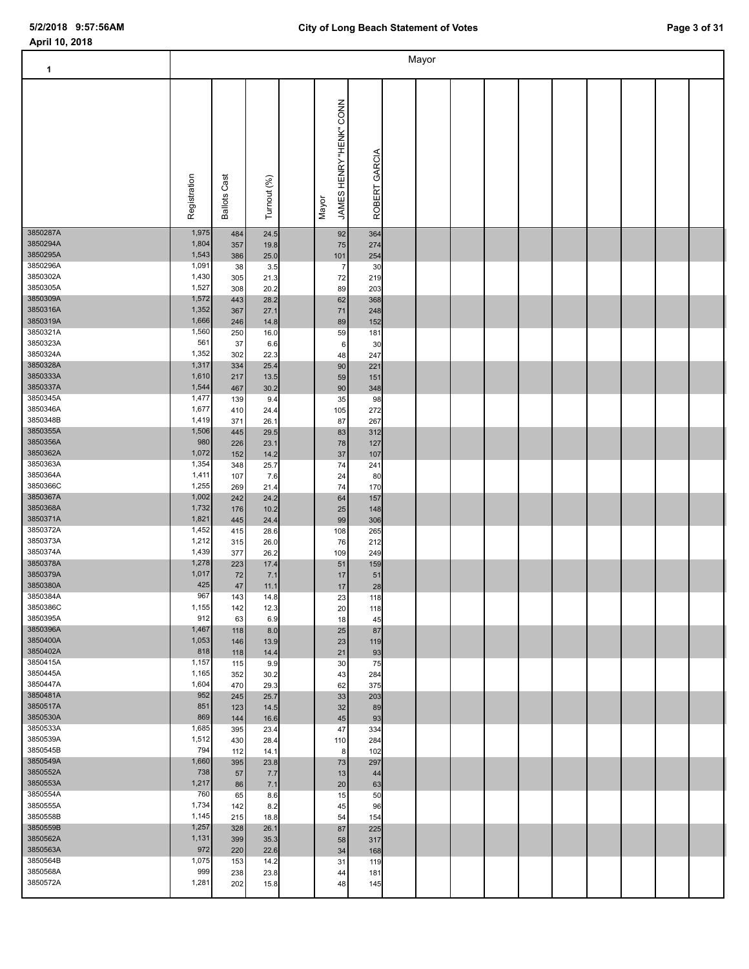| 1                    |                |                     |              |                                            |                  | Mayor |  |  |  |  |
|----------------------|----------------|---------------------|--------------|--------------------------------------------|------------------|-------|--|--|--|--|
|                      | Registration   | <b>Ballots Cast</b> | Turnout (%)  | HENRY "HENK" CONN<br><b>JAMES</b><br>Mayor | GARCIA<br>ROBERT |       |  |  |  |  |
| 3850287A<br>3850294A | 1,975<br>1,804 | 484<br>357          | 24.5<br>19.8 | 92<br>75                                   | 364<br>274       |       |  |  |  |  |
| 3850295A<br>3850296A | 1,543<br>1,091 | 386<br>38           | 25.0<br>3.5  | 101<br>$\overline{7}$                      | 254<br>30        |       |  |  |  |  |
| 3850302A             | 1,430          | 305                 | 21.3         | 72                                         | 219              |       |  |  |  |  |
| 3850305A<br>3850309A | 1,527<br>1,572 | 308<br>443          | 20.2<br>28.2 | 89<br>62                                   | 203<br>368       |       |  |  |  |  |
| 3850316A             | 1,352          | 367                 | 27.1         | 71                                         | 248              |       |  |  |  |  |
| 3850319A             | 1,666          | 246                 | 14.8         | 89                                         | 152              |       |  |  |  |  |
| 3850321A<br>3850323A | 1,560<br>561   | 250<br>37           | 16.0<br>6.6  | 59<br>6                                    | 181<br>30        |       |  |  |  |  |
| 3850324A             | 1,352          | 302                 | 22.3         | 48                                         | 247              |       |  |  |  |  |
| 3850328A<br>3850333A | 1,317<br>1,610 | 334<br>217          | 25.4<br>13.5 | 90<br>59                                   | 221<br>151       |       |  |  |  |  |
| 3850337A             | 1,544          | 467                 | 30.2         | 90                                         | 348              |       |  |  |  |  |
| 3850345A             | 1,477          | 139                 | 9.4          | 35                                         | 98               |       |  |  |  |  |
| 3850346A<br>3850348B | 1,677<br>1,419 | 410<br>371          | 24.4<br>26.1 | 105<br>87                                  | 272<br>267       |       |  |  |  |  |
| 3850355A             | 1,506          | 445                 | 29.5         | 83                                         | 312              |       |  |  |  |  |
| 3850356A<br>3850362A | 980<br>1,072   | 226<br>152          | 23.1<br>14.2 | 78<br>37                                   | 127<br>107       |       |  |  |  |  |
| 3850363A             | 1,354          | 348                 | 25.7         | 74                                         | 241              |       |  |  |  |  |
| 3850364A             | 1,411          | 107                 | 7.6          | 24                                         | 80               |       |  |  |  |  |
| 3850366C<br>3850367A | 1,255<br>1,002 | 269<br>242          | 21.4<br>24.2 | 74<br>64                                   | 170<br>157       |       |  |  |  |  |
| 3850368A             | 1,732          | 176                 | 10.2         | 25                                         | 148              |       |  |  |  |  |
| 3850371A<br>3850372A | 1,821<br>1,452 | 445<br>415          | 24.4<br>28.6 | 99<br>108                                  | 306<br>265       |       |  |  |  |  |
| 3850373A             | 1,212          | 315                 | 26.0         | 76                                         | 212              |       |  |  |  |  |
| 3850374A             | 1,439          | 377                 | 26.2         | 109                                        | 249              |       |  |  |  |  |
| 3850378A<br>3850379A | 1,278<br>1,017 | 223<br>72           | 17.4<br>7.1  | 51<br>17                                   | 159<br>51        |       |  |  |  |  |
| 3850380A             | 425            | 47                  | 11.1         | 17                                         | 28               |       |  |  |  |  |
| 3850384A<br>3850386C | 967<br>1,155   | 143                 | 14.8         | 23                                         | 118              |       |  |  |  |  |
| 3850395A             | 912            | 142<br>63           | 12.3<br>6.9  | 20<br>18                                   | 118<br>45        |       |  |  |  |  |
| 3850396A             | 1,467          | 118                 | 8.0          | 25                                         | 87               |       |  |  |  |  |
| 3850400A<br>3850402A | 1,053<br>818   | 146<br>118          | 13.9<br>14.4 | 23<br>21                                   | 119<br>93        |       |  |  |  |  |
| 3850415A             | 1,157          | 115                 | 9.9          | 30                                         | 75               |       |  |  |  |  |
| 3850445A<br>3850447A | 1,165<br>1,604 | 352                 | 30.2         | 43                                         | 284              |       |  |  |  |  |
| 3850481A             | 952            | 470<br>245          | 29.3<br>25.7 | 62<br>33                                   | 375<br>203       |       |  |  |  |  |
| 3850517A             | 851            | 123                 | 14.5         | 32                                         | 89               |       |  |  |  |  |
| 3850530A<br>3850533A | 869<br>1,685   | 144<br>395          | 16.6<br>23.4 | 45<br>47                                   | 93<br>334        |       |  |  |  |  |
| 3850539A             | 1,512          | 430                 | 28.4         | 110                                        | 284              |       |  |  |  |  |
| 3850545B             | 794            | 112                 | 14.1         | 8                                          | 102              |       |  |  |  |  |
| 3850549A<br>3850552A | 1,660<br>738   | 395<br>57           | 23.8<br>7.7  | 73<br>13                                   | 297<br>44        |       |  |  |  |  |
| 3850553A             | 1,217          | 86                  | 7.1          | 20                                         | 63               |       |  |  |  |  |
| 3850554A<br>3850555A | 760<br>1,734   | 65<br>142           | 8.6<br>8.2   | 15<br>45                                   | 50<br>96         |       |  |  |  |  |
| 3850558B             | 1,145          | 215                 | 18.8         | 54                                         | 154              |       |  |  |  |  |
| 3850559B             | 1,257          | 328                 | 26.1         | 87                                         | 225              |       |  |  |  |  |
| 3850562A<br>3850563A | 1,131<br>972   | 399<br>220          | 35.3<br>22.6 | 58<br>34                                   | 317<br>168       |       |  |  |  |  |
| 3850564B             | 1,075          | 153                 | 14.2         | 31                                         | 119              |       |  |  |  |  |
| 3850568A<br>3850572A | 999            | 238                 | 23.8         | 44                                         | 181              |       |  |  |  |  |
|                      | 1,281          | 202                 | 15.8         | 48                                         | 145              |       |  |  |  |  |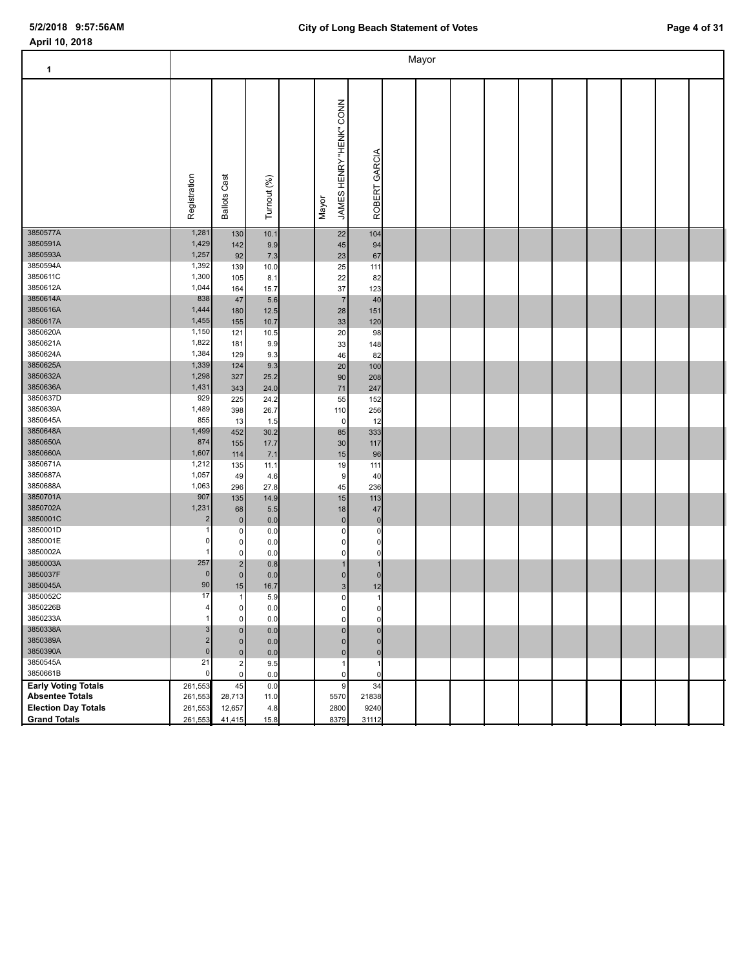| 1                          |                         |                          |              |                                            |                       | Mayor |  |  |  |  |
|----------------------------|-------------------------|--------------------------|--------------|--------------------------------------------|-----------------------|-------|--|--|--|--|
|                            | Registration            | Cast<br><b>Ballots</b>   | Turnout (%)  | HENRY "HENK" CONN<br><b>JAMES</b><br>Mayor | ROBERT GARCIA         |       |  |  |  |  |
| 3850577A<br>3850591A       | 1,281<br>1,429          | 130                      | 10.1         | 22                                         | 104                   |       |  |  |  |  |
| 3850593A                   | 1,257                   | 142<br>92                | 9.9<br>7.3   | 45<br>23                                   | 94<br>67              |       |  |  |  |  |
| 3850594A                   | 1,392                   | 139                      | 10.0         | 25                                         | 111                   |       |  |  |  |  |
| 3850611C                   | 1,300                   | 105                      | 8.1          | 22                                         | 82                    |       |  |  |  |  |
| 3850612A                   | 1,044                   | 164                      | 15.7         | 37                                         | 123                   |       |  |  |  |  |
| 3850614A<br>3850616A       | 838<br>1,444            | 47                       | 5.6          | $\overline{7}$                             | 40                    |       |  |  |  |  |
| 3850617A                   | 1,455                   | 180<br>155               | 12.5<br>10.7 | 28<br>33                                   | 151<br>120            |       |  |  |  |  |
| 3850620A                   | 1,150                   | 121                      | 10.5         | 20                                         | 98                    |       |  |  |  |  |
| 3850621A                   | 1,822                   | 181                      | 9.9          | 33                                         | 148                   |       |  |  |  |  |
| 3850624A                   | 1,384                   | 129                      | 9.3          | 46                                         | 82                    |       |  |  |  |  |
| 3850625A<br>3850632A       | 1,339<br>1,298          | 124                      | 9.3          | $20\,$                                     | 100                   |       |  |  |  |  |
| 3850636A                   | 1,431                   | 327<br>343               | 25.2<br>24.0 | 90<br>71                                   | 208<br>247            |       |  |  |  |  |
| 3850637D                   | 929                     | 225                      | 24.2         | 55                                         | 152                   |       |  |  |  |  |
| 3850639A                   | 1,489                   | 398                      | 26.7         | 110                                        | 256                   |       |  |  |  |  |
| 3850645A                   | 855                     | 13                       | 1.5          | 0                                          | 12                    |       |  |  |  |  |
| 3850648A                   | 1,499                   | 452                      | 30.2         | 85                                         | 333                   |       |  |  |  |  |
| 3850650A<br>3850660A       | 874<br>1,607            | 155<br>114               | 17.7         | 30<br>15                                   | 117<br>96             |       |  |  |  |  |
| 3850671A                   | 1,212                   | 135                      | 7.1<br>11.1  | 19                                         | 111                   |       |  |  |  |  |
| 3850687A                   | 1,057                   | 49                       | 4.6          | 9                                          | 40                    |       |  |  |  |  |
| 3850688A                   | 1,063                   | 296                      | 27.8         | 45                                         | 236                   |       |  |  |  |  |
| 3850701A                   | 907                     | 135                      | 14.9         | 15                                         | 113                   |       |  |  |  |  |
| 3850702A<br>3850001C       | 1,231<br>$\overline{2}$ | 68                       | 5.5          | 18                                         | 47                    |       |  |  |  |  |
| 3850001D                   |                         | $\pmb{0}$<br>$\pmb{0}$   | 0.0<br>0.0   | $\overline{0}$<br>0                        | $\pmb{0}$<br>$\Omega$ |       |  |  |  |  |
| 3850001E                   | 0                       | $\pmb{0}$                | 0.0          | $\mathbf{0}$                               | 0                     |       |  |  |  |  |
| 3850002A                   |                         | $\pmb{0}$                | 0.0          | 0                                          | $\Omega$              |       |  |  |  |  |
| 3850003A                   | 257                     | $\mathbf 2$              | 0.8          | 1                                          |                       |       |  |  |  |  |
| 3850037F<br>3850045A       | $\mathbf 0$<br>90       | $\pmb{0}$                | 0.0          | 0                                          | $\mathbf{0}$          |       |  |  |  |  |
| 3850052C                   | 17                      | 15<br>$\overline{1}$     | 16.7<br>5.9  | 3 <sup>1</sup><br>$\Omega$                 | 12                    |       |  |  |  |  |
| 3850226B                   |                         | $\pmb{0}$                | 0.0          | $\mathbf{0}$                               | $\mathbf{0}$          |       |  |  |  |  |
| 3850233A                   |                         | $\pmb{0}$                | 0.0          | $\overline{0}$                             | $\mathbf 0$           |       |  |  |  |  |
| 3850338A                   | 3                       | $\pmb{0}$                | 0.0          | $\overline{0}$                             | $\mathbf{0}$          |       |  |  |  |  |
| 3850389A                   | $\overline{2}$          | $\pmb{0}$                | 0.0          | $\overline{0}$                             | $\mathbf{0}$          |       |  |  |  |  |
| 3850390A<br>3850545A       | $\overline{0}$<br>21    | $\pmb{0}$<br>$\mathbf 2$ | 0.0<br>9.5   | $\overline{0}$<br>$\mathbf{1}$             | $\mathbf{0}$          |       |  |  |  |  |
| 3850661B                   | $\mathbf 0$             | $\pmb{0}$                | 0.0          | $\Omega$                                   | $\Omega$              |       |  |  |  |  |
| <b>Early Voting Totals</b> | 261,553                 | 45                       | 0.0          | 9                                          | 34                    |       |  |  |  |  |
| <b>Absentee Totals</b>     | 261,553                 | 28,713                   | 11.0         | 5570                                       | 21838                 |       |  |  |  |  |
| <b>Election Day Totals</b> | 261,553                 | 12,657                   | 4.8          | 2800                                       | 9240                  |       |  |  |  |  |
| <b>Grand Totals</b>        | 261,553                 | 41,415                   | 15.8         | 8379                                       | 31112                 |       |  |  |  |  |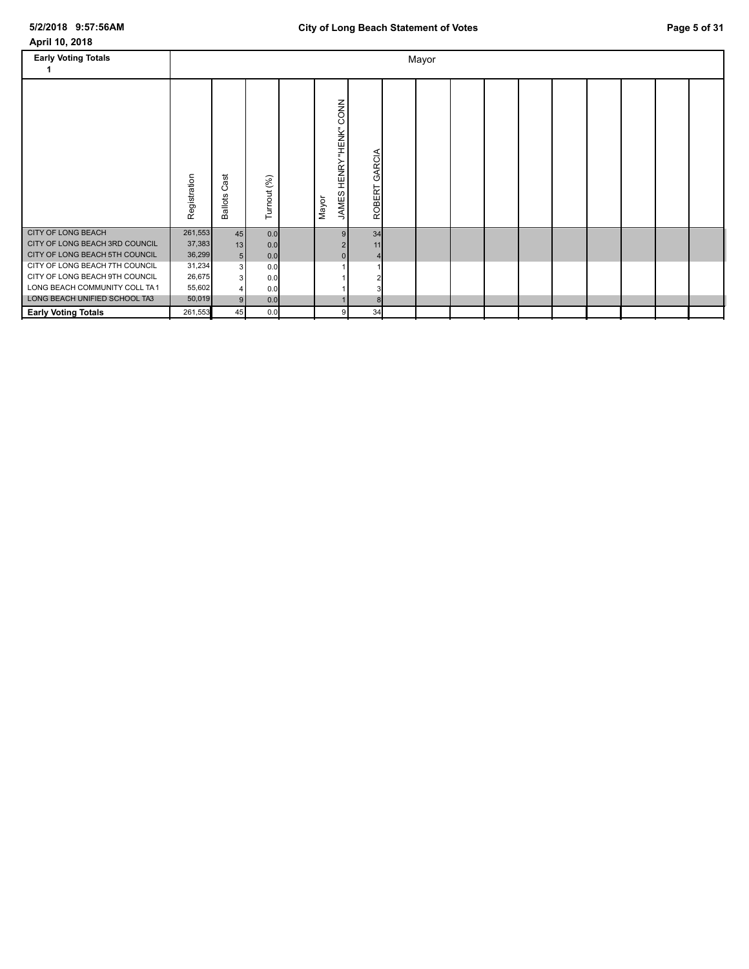| <b>Early Voting Totals</b>                                     |                   |                            |             |                                                         |                  | Mayor |  |  |  |  |
|----------------------------------------------------------------|-------------------|----------------------------|-------------|---------------------------------------------------------|------------------|-------|--|--|--|--|
|                                                                | Registration      | ast<br>ပ<br><b>Ballots</b> | Turnout (%) | CONN<br>"HENK"<br><b>HENRY</b><br><b>JAMES</b><br>Mayor | GARCIA<br>ROBERT |       |  |  |  |  |
| CITY OF LONG BEACH<br>CITY OF LONG BEACH 3RD COUNCIL           | 261,553<br>37,383 | 45<br>13                   | 0.0<br>0.0  |                                                         | 34<br>11         |       |  |  |  |  |
| CITY OF LONG BEACH 5TH COUNCIL                                 | 36,299            | 5 <sup>1</sup>             | 0.0         |                                                         |                  |       |  |  |  |  |
| CITY OF LONG BEACH 7TH COUNCIL                                 | 31,234            | 3                          | 0.0         |                                                         |                  |       |  |  |  |  |
| CITY OF LONG BEACH 9TH COUNCIL                                 | 26,675            | 3                          | 0.0         |                                                         |                  |       |  |  |  |  |
| LONG BEACH COMMUNITY COLL TA1<br>LONG BEACH UNIFIED SCHOOL TA3 | 55,602<br>50,019  |                            | 0.0         |                                                         |                  |       |  |  |  |  |
| <b>Early Voting Totals</b>                                     | 261,553           | 9<br>45                    | 0.0<br>0.0  | 9                                                       | 8<br>34          |       |  |  |  |  |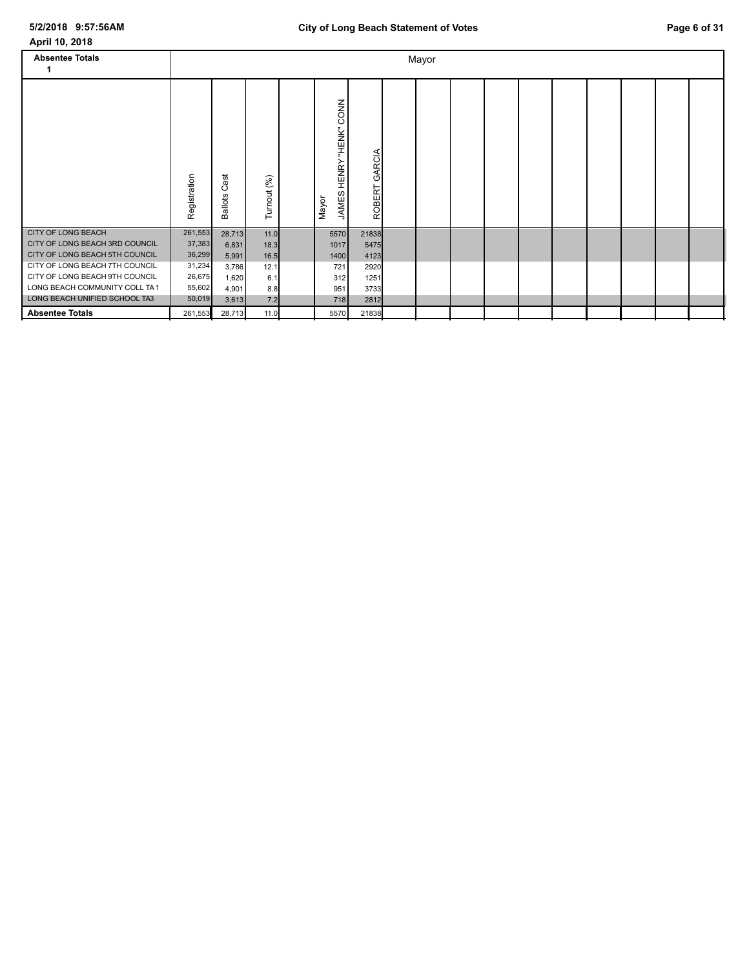CITY OF LONG BEACH 5TH COUNCIL 36,299<br>CITY OF LONG BEACH 7TH COUNCIL 31,234

LONG BEACH COMMUNITY COLL TA1 55,602 4,901 8.8<br>LONG BEACH UNIFIED SCHOOL TA3 50,019 3,613 7.2

CITY OF LONG BEACH 261,553 28,713 11.0 5570 21838 CITY OF LONG BEACH 3RD COUNCIL 37,383 6,831 18.3 1017 5475<br>CITY OF LONG BEACH 5TH COUNCIL 36,299 5,991 16.5 1400 4123

CITY OF LONG BEACH 7TH COUNCIL 31,234 3,786 12.1 721 2920<br>CITY OF LONG BEACH 9TH COUNCIL 26,675 1,620 6.1 312 1251 CITY OF LONG BEACH 9TH COUNCIL  $\begin{bmatrix} 26,675 & 1,620 \\ 55,602 & 4,901 \end{bmatrix}$  6.1 312 1251 3733

LONG BEACH UNIFIED SCHOOL TA3 50,019 3,613 7.2 718 718 2812 **Absentee Totals** 261,553 28,713 11.0 5570 21838

|                                          |              |                                |             | $1.31$ and $2.41$ and $2.41$ and $2.41$ and $2.41$ and $2.41$ and $2.41$ and $2.41$ and $2.41$ and $2.41$ and $2.41$ and $2.41$ and $2.41$ and $2.41$ and $2.41$ and $2.41$ and $2.41$ and $2.41$ and $2.41$ and $2.41$ and |                  |       |  |  |  |  |
|------------------------------------------|--------------|--------------------------------|-------------|-----------------------------------------------------------------------------------------------------------------------------------------------------------------------------------------------------------------------------|------------------|-------|--|--|--|--|
| April 10, 2018<br><b>Absentee Totals</b> |              |                                |             |                                                                                                                                                                                                                             |                  | Mayor |  |  |  |  |
|                                          | Registration | ä<br>$\circ$<br><b>Ballots</b> | Turnout (%) | CONN<br>HENRY "HENK"<br><b>JAMES</b><br>Mayor                                                                                                                                                                               | GARCIA<br>ROBERT |       |  |  |  |  |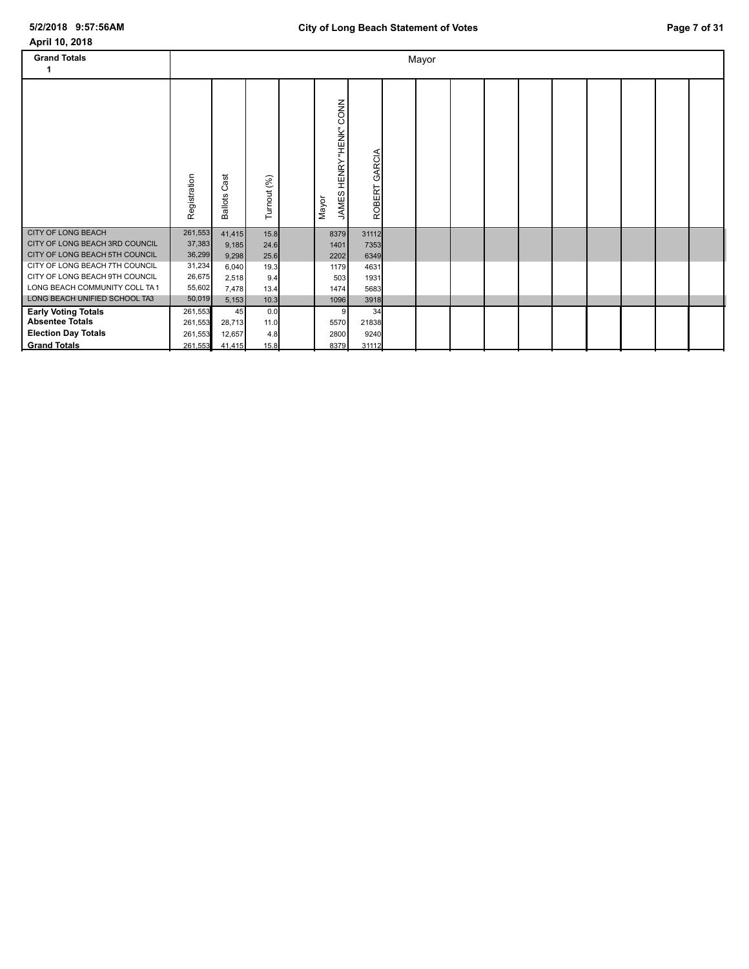| April 10, 2018                                                  |                  |                            |             |                                        |                  |       |  |  |  |  |
|-----------------------------------------------------------------|------------------|----------------------------|-------------|----------------------------------------|------------------|-------|--|--|--|--|
| <b>Grand Totals</b><br>1                                        |                  |                            |             |                                        |                  | Mayor |  |  |  |  |
|                                                                 | Registration     | ast<br>ပ<br><b>Ballots</b> | Turnout (%) | CONN<br>HENRY "HENK"<br>JAMES<br>Mayor | GARCIA<br>ROBERT |       |  |  |  |  |
| <b>CITY OF LONG BEACH</b>                                       | 261,553          | 41,415                     | 15.8        | 8379                                   | 31112            |       |  |  |  |  |
| CITY OF LONG BEACH 3RD COUNCIL                                  | 37,383           | 9,185                      | 24.6        | 1401                                   | 7353             |       |  |  |  |  |
| CITY OF LONG BEACH 5TH COUNCIL                                  | 36,299           | 9,298                      | 25.6        | 2202                                   | 6349             |       |  |  |  |  |
| CITY OF LONG BEACH 7TH COUNCIL                                  | 31,234           | 6,040                      | 19.3        | 1179                                   | 4631             |       |  |  |  |  |
| CITY OF LONG BEACH 9TH COUNCIL<br>LONG BEACH COMMUNITY COLL TA1 | 26,675           | 2,518                      | 9.4         | 503                                    | 1931             |       |  |  |  |  |
| LONG BEACH UNIFIED SCHOOL TA3                                   | 55,602<br>50,019 | 7,478                      | 13.4        | 1474                                   | 5683             |       |  |  |  |  |
|                                                                 |                  | 5,153                      | 10.3        | 1096                                   | 3918             |       |  |  |  |  |
| <b>Early Voting Totals</b><br><b>Absentee Totals</b>            | 261,553          | 45                         | 0.0<br>11.0 | 9                                      | 34               |       |  |  |  |  |
|                                                                 | 261,553          | 28,713                     |             | 5570                                   | 21838            |       |  |  |  |  |
| <b>Election Day Totals</b>                                      | 261,553          | 12,657                     | 4.8         | 2800                                   | 9240             |       |  |  |  |  |
| <b>Grand Totals</b>                                             | 261,553          | 41,415                     | 15.8        | 8379                                   | 31112            |       |  |  |  |  |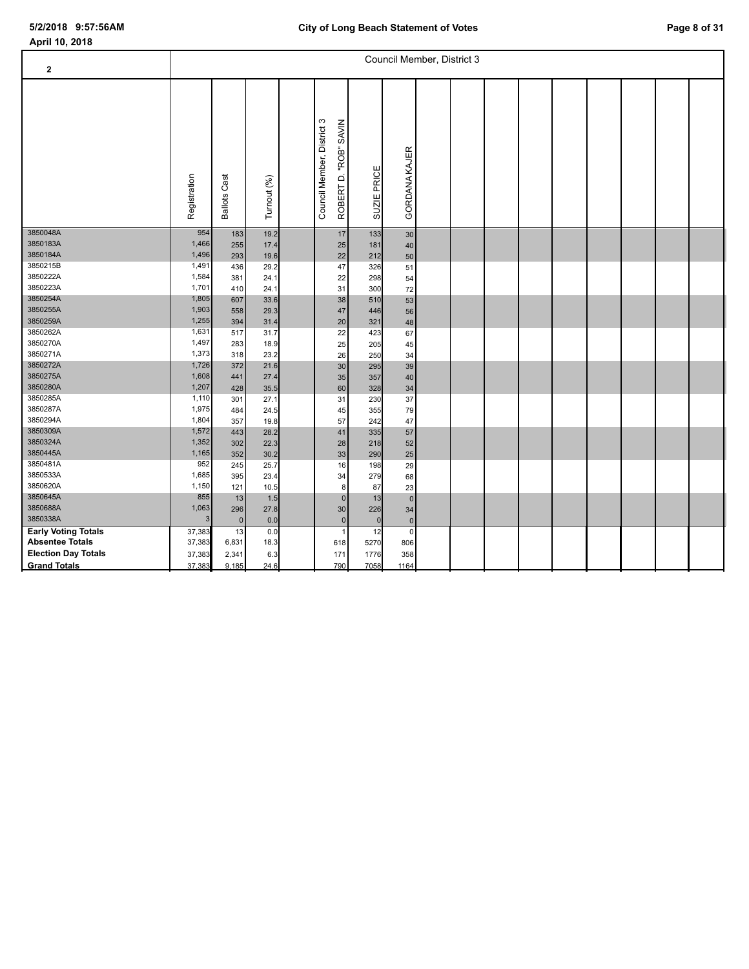| $\mathbf{2}$                                                                       |                                  |                          |                              |                                                                     |                          |                              | Council Member, District 3 |  |  |  |  |
|------------------------------------------------------------------------------------|----------------------------------|--------------------------|------------------------------|---------------------------------------------------------------------|--------------------------|------------------------------|----------------------------|--|--|--|--|
|                                                                                    | Registration                     | <b>Ballots Cast</b>      | Turnout (%)                  | S<br><b>SAVIN</b><br>Council Member, District<br>"ROB"<br>ROBERT D. | SUZIE PRICE              | GORDANA KAJER                |                            |  |  |  |  |
| 3850048A<br>3850183A<br>3850184A                                                   | 954<br>1,466<br>1,496            | 183<br>255<br>293        | 19.2<br>17.4<br>19.6         | $17\,$<br>25<br>22                                                  | 133<br>181<br>212        | 30<br>40<br>50               |                            |  |  |  |  |
| 3850215B<br>3850222A<br>3850223A                                                   | 1,491<br>1,584<br>1,701          | 436<br>381<br>410        | 29.2<br>24.7<br>24.1         | 47<br>22<br>31                                                      | 326<br>298<br>300        | 51<br>54<br>72               |                            |  |  |  |  |
| 3850254A<br>3850255A<br>3850259A<br>3850262A                                       | 1,805<br>1,903<br>1,255<br>1,631 | 607<br>558<br>394        | 33.6<br>29.3<br>31.4         | $38\,$<br>47<br>$20\,$                                              | 510<br>446<br>321        | 53<br>56<br>48               |                            |  |  |  |  |
| 3850270A<br>3850271A<br>3850272A                                                   | 1,497<br>1,373<br>1,726          | 517<br>283<br>318<br>372 | 31.7<br>18.9<br>23.2<br>21.6 | 22<br>25<br>26<br>30                                                | 423<br>205<br>250<br>295 | 67<br>45<br>34<br>39         |                            |  |  |  |  |
| 3850275A<br>3850280A<br>3850285A                                                   | 1,608<br>1,207<br>1,110          | 441<br>428<br>301        | 27.4<br>35.5<br>27.1         | 35<br>60<br>31                                                      | 357<br>328<br>230        | 40<br>34<br>37               |                            |  |  |  |  |
| 3850287A<br>3850294A<br>3850309A                                                   | 1,975<br>1,804<br>1,572          | 484<br>357<br>443        | 24.5<br>19.8<br>28.2         | 45<br>57<br>41                                                      | 355<br>242<br>335        | 79<br>47<br>57               |                            |  |  |  |  |
| 3850324A<br>3850445A<br>3850481A                                                   | 1,352<br>1,165<br>952            | 302<br>352<br>245        | 22.3<br>30.2<br>25.7         | 28<br>33<br>16                                                      | 218<br>290<br>198        | 52<br>25<br>29               |                            |  |  |  |  |
| 3850533A<br>3850620A<br>3850645A                                                   | 1,685<br>1,150<br>855            | 395<br>121<br>13         | 23.4<br>10.5<br>1.5          | 34<br>8<br>$\mathbf 0$                                              | 279<br>87<br>13          | 68<br>23<br>$\overline{0}$   |                            |  |  |  |  |
| 3850688A<br>3850338A                                                               | 1,063<br>3                       | 296<br>$\mathbf 0$       | 27.8<br>0.0                  | 30<br>$\pmb{0}$                                                     | 226<br>$\mathbf 0$       | 34<br>$\mathsf{O}\xspace$    |                            |  |  |  |  |
| <b>Early Voting Totals</b><br><b>Absentee Totals</b><br><b>Election Day Totals</b> | 37,383<br>37,383<br>37,383       | 13<br>6,831<br>2,341     | 0.0<br>18.3<br>6.3           | $\overline{1}$<br>618<br>171                                        | 12<br>5270<br>1776       | $\overline{0}$<br>806<br>358 |                            |  |  |  |  |
| <b>Grand Totals</b>                                                                | 37,383                           | 9,185                    | 24.6                         | 790                                                                 | 7058                     | 1164                         |                            |  |  |  |  |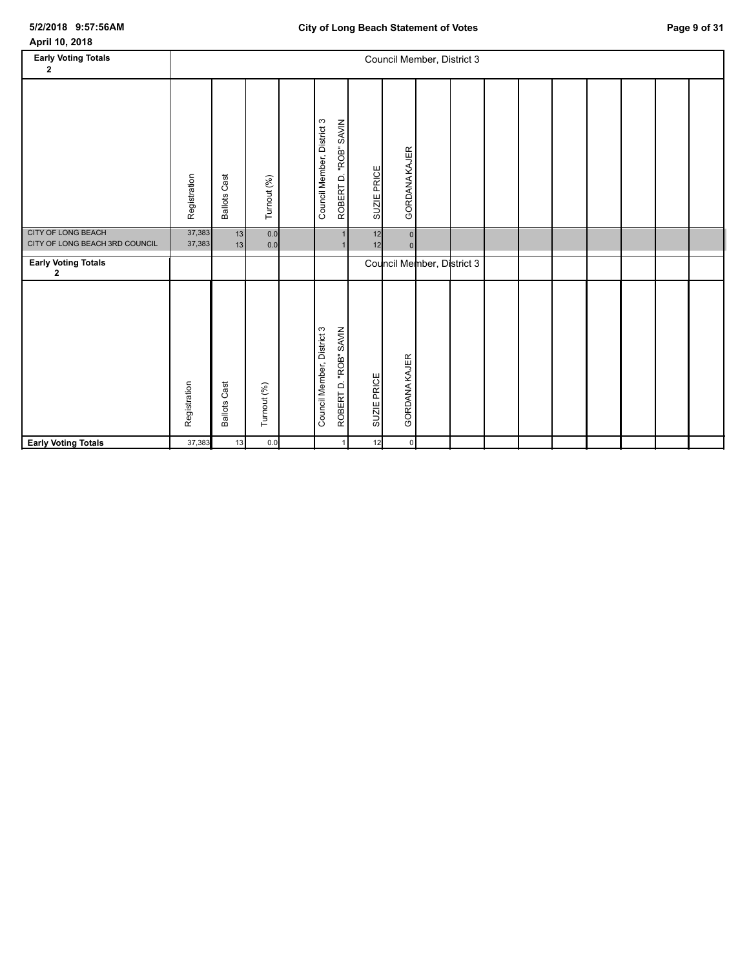| April 10, 2018                                              |                  |                     |             |                            |                       |                    |                                       |                            |  |  |  |  |
|-------------------------------------------------------------|------------------|---------------------|-------------|----------------------------|-----------------------|--------------------|---------------------------------------|----------------------------|--|--|--|--|
| <b>Early Voting Totals</b>                                  |                  |                     |             |                            |                       |                    |                                       | Council Member, District 3 |  |  |  |  |
| $\mathbf{2}$                                                |                  |                     |             |                            |                       |                    |                                       |                            |  |  |  |  |
|                                                             | Registration     | <b>Ballots Cast</b> | Turnout (%) | Council Member, District 3 | ROBERT D. "ROB" SAVIN | <b>SUZIE PRICE</b> | GORDANA KAJER                         |                            |  |  |  |  |
| <b>CITY OF LONG BEACH</b><br>CITY OF LONG BEACH 3RD COUNCIL | 37,383<br>37,383 | 13<br>13            | 0.0<br>0.0  |                            |                       | 12<br>12           | $\mathsf{O}\xspace$<br>$\overline{0}$ |                            |  |  |  |  |
| <b>Early Voting Totals</b><br>$\mathbf{2}$                  |                  |                     |             |                            |                       |                    |                                       | Council Member, District 3 |  |  |  |  |
|                                                             | Registration     | <b>Ballots Cast</b> | Turnout (%) | Council Member, District 3 | ROBERT D. "ROB" SAVIN | SUZIE PRICE        | GORDANA KAJER                         |                            |  |  |  |  |
| <b>Early Voting Totals</b>                                  | 37,383           | 13                  | 0.0         |                            |                       | 12                 | $\mathbf{0}$                          |                            |  |  |  |  |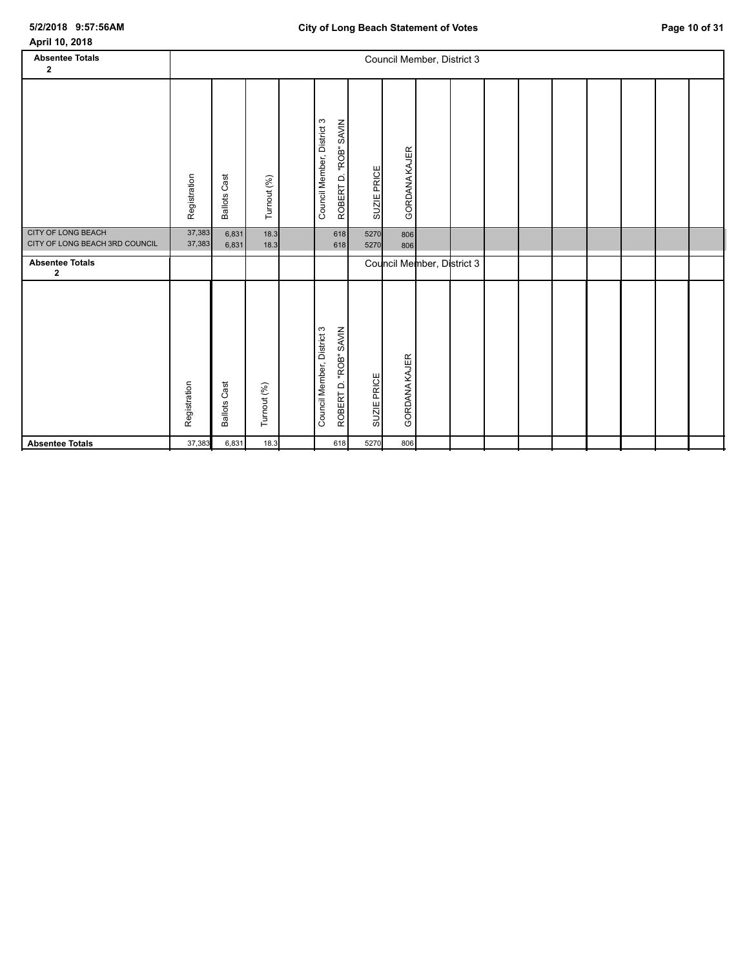| April 10, 2018                                              |                  |                     |              |                                                     |                    |               |                            |  |  |  |  |
|-------------------------------------------------------------|------------------|---------------------|--------------|-----------------------------------------------------|--------------------|---------------|----------------------------|--|--|--|--|
| <b>Absentee Totals</b>                                      |                  |                     |              |                                                     |                    |               | Council Member, District 3 |  |  |  |  |
| $\mathbf 2$                                                 |                  |                     |              |                                                     |                    |               |                            |  |  |  |  |
|                                                             | Registration     | <b>Ballots Cast</b> | Turnout (%)  | Council Member, District 3<br>ROBERT D. "ROB" SAVIN | <b>SUZIE PRICE</b> | GORDANA KAJER |                            |  |  |  |  |
| <b>CITY OF LONG BEACH</b><br>CITY OF LONG BEACH 3RD COUNCIL | 37,383<br>37,383 | 6,831<br>6,831      | 18.3<br>18.3 | 618<br>618                                          | 5270<br>5270       | 806<br>806    |                            |  |  |  |  |
|                                                             |                  |                     |              |                                                     |                    |               |                            |  |  |  |  |
| <b>Absentee Totals</b><br>$\mathbf{2}$                      |                  |                     |              |                                                     |                    |               | Council Member, District 3 |  |  |  |  |
|                                                             | Registration     | <b>Ballots Cast</b> | Turnout (%)  | Council Member, District 3<br>ROBERT D. "ROB" SAVIN | <b>SUZIE PRICE</b> | GORDANA KAJER |                            |  |  |  |  |
| <b>Absentee Totals</b>                                      | 37,383           | 6,831               | 18.3         | 618                                                 | 5270               | 806           |                            |  |  |  |  |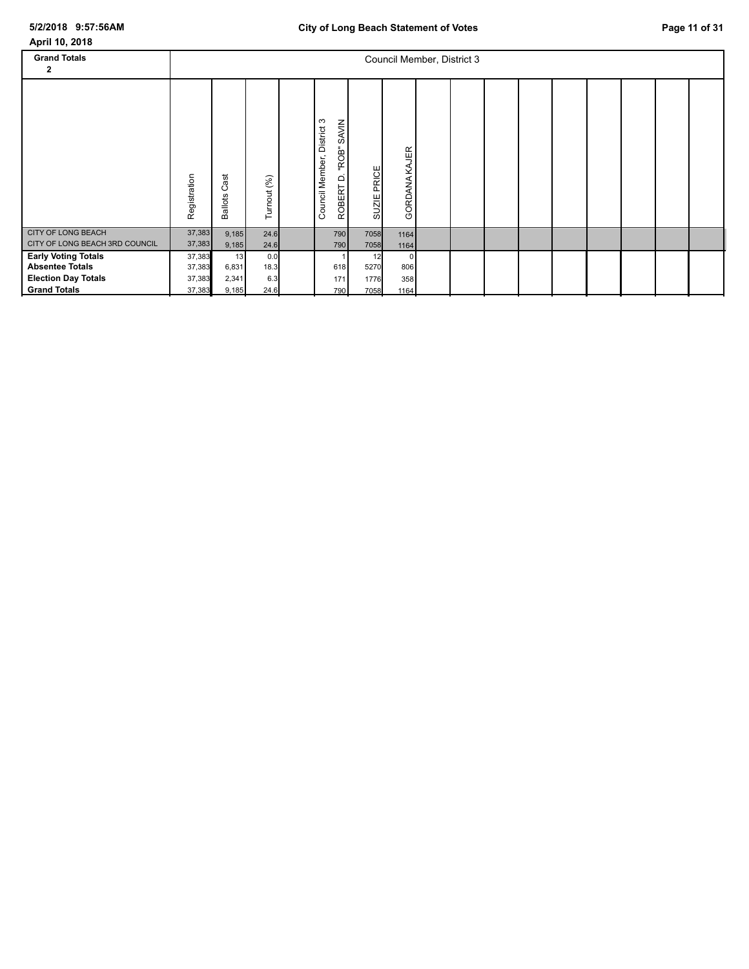| April 10, 2018                                                                                            |                                      |                               |                            |                                                                           |                            |                                      |                            |  |  |  |  |
|-----------------------------------------------------------------------------------------------------------|--------------------------------------|-------------------------------|----------------------------|---------------------------------------------------------------------------|----------------------------|--------------------------------------|----------------------------|--|--|--|--|
| <b>Grand Totals</b><br>2                                                                                  |                                      |                               |                            |                                                                           |                            |                                      | Council Member, District 3 |  |  |  |  |
|                                                                                                           | Registration                         | Cast<br><b>Ballots</b>        | Turnout (%)                | ത<br><b>SAVIN</b><br>District:<br>"ROB"<br>Council Member,<br>۵<br>ROBERT | PRICE<br><b>SUZIE</b>      | GORDANA KAJER                        |                            |  |  |  |  |
| <b>CITY OF LONG BEACH</b><br>CITY OF LONG BEACH 3RD COUNCIL                                               | 37,383<br>37,383                     | 9,185<br>9,185                | 24.6<br>24.6               | 790<br>790                                                                | 7058<br>7058               | 1164<br>1164                         |                            |  |  |  |  |
| <b>Early Voting Totals</b><br><b>Absentee Totals</b><br><b>Election Day Totals</b><br><b>Grand Totals</b> | 37,383<br>37,383<br>37,383<br>37,383 | 13<br>6,831<br>2,341<br>9,185 | 0.0<br>18.3<br>6.3<br>24.6 | 618<br>171<br>790                                                         | 12<br>5270<br>1776<br>7058 | $\overline{0}$<br>806<br>358<br>1164 |                            |  |  |  |  |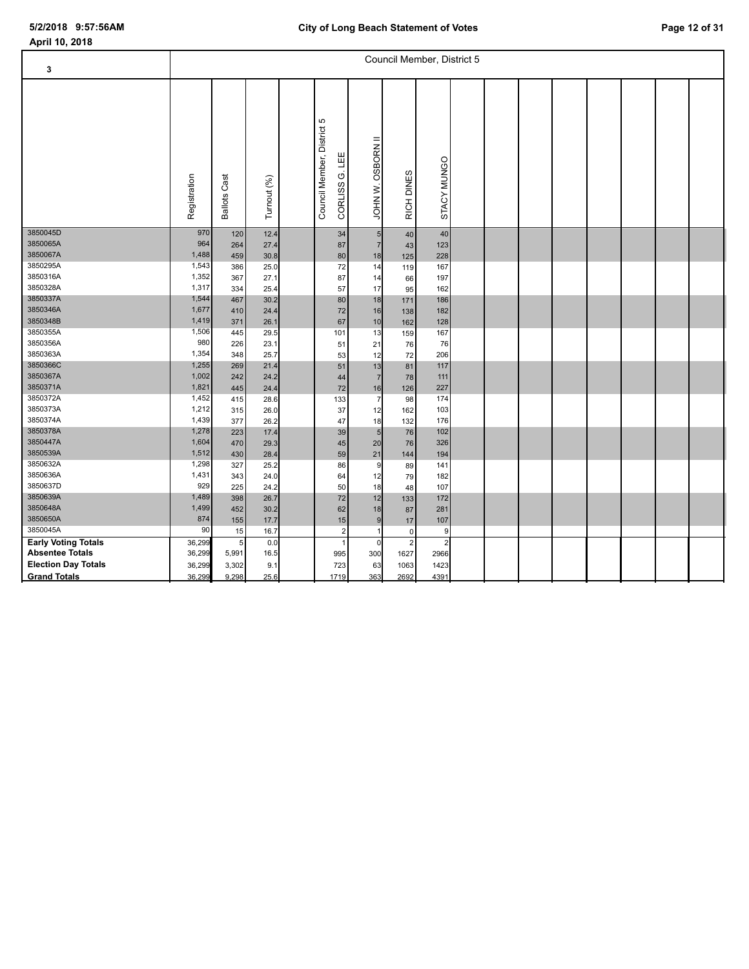| 3                          |                |                     |              |                                                 |                              |                | Council Member, District 5 |  |  |  |  |
|----------------------------|----------------|---------------------|--------------|-------------------------------------------------|------------------------------|----------------|----------------------------|--|--|--|--|
|                            | Registration   | <b>Ballots Cast</b> | Turnout (%)  | Ю<br>Council Member, District<br>CORLISS G. LEE | JOHN W. OSBORN               | RICH DINES     | STACY MUNGO                |  |  |  |  |
| 3850045D<br>3850065A       | 970<br>964     | 120                 | 12.4         | 34                                              | 5                            | 40             | 40<br>123                  |  |  |  |  |
| 3850067A                   | 1,488          | 264<br>459          | 27.4<br>30.8 | 87<br>80                                        | $\overline{7}$<br>18         | 43<br>125      | 228                        |  |  |  |  |
| 3850295A                   | 1,543          | 386                 | 25.0         | 72                                              | 14                           | 119            | 167                        |  |  |  |  |
| 3850316A<br>3850328A       | 1,352<br>1,317 | 367                 | 27.1         | 87                                              | 14                           | 66             | 197                        |  |  |  |  |
| 3850337A                   | 1,544          | 334<br>467          | 25.4<br>30.2 | 57<br>$80\,$                                    | 17<br>18                     | 95<br>171      | 162<br>186                 |  |  |  |  |
| 3850346A                   | 1,677          | 410                 | 24.4         | $72\,$                                          | 16                           | 138            | 182                        |  |  |  |  |
| 3850348B                   | 1,419          | 371                 | 26.1         | 67                                              | 10                           | 162            | 128                        |  |  |  |  |
| 3850355A                   | 1,506          | 445                 | 29.5         | 101                                             | 13                           | 159            | 167                        |  |  |  |  |
| 3850356A<br>3850363A       | 980<br>1,354   | 226                 | 23.1         | 51                                              | 21                           | 76             | 76                         |  |  |  |  |
| 3850366C                   | 1,255          | 348<br>269          | 25.7<br>21.4 | 53<br>51                                        | 12<br>13                     | 72<br>81       | 206<br>117                 |  |  |  |  |
| 3850367A                   | 1,002          | 242                 | 24.2         | 44                                              | $\overline{7}$               | 78             | 111                        |  |  |  |  |
| 3850371A                   | 1,821          | 445                 | 24.4         | $72\,$                                          | 16                           | 126            | 227                        |  |  |  |  |
| 3850372A                   | 1,452          | 415                 | 28.6         | 133                                             | $\overline{7}$               | 98             | 174                        |  |  |  |  |
| 3850373A<br>3850374A       | 1,212          | 315                 | 26.0         | 37                                              | 12                           | 162            | 103                        |  |  |  |  |
| 3850378A                   | 1,439<br>1,278 | 377<br>223          | 26.2<br>17.4 | 47<br>39                                        | 18<br>$5\phantom{.0}$        | 132<br>76      | 176<br>102                 |  |  |  |  |
| 3850447A                   | 1,604          | 470                 | 29.3         | 45                                              | 20                           | 76             | 326                        |  |  |  |  |
| 3850539A                   | 1,512          | 430                 | 28.4         | 59                                              | 21                           | 144            | 194                        |  |  |  |  |
| 3850632A                   | 1,298          | 327                 | 25.2         | 86                                              | 9                            | 89             | 141                        |  |  |  |  |
| 3850636A                   | 1,431          | 343                 | 24.0         | 64                                              | 12                           | 79             | 182                        |  |  |  |  |
| 3850637D<br>3850639A       | 929<br>1,489   | 225                 | 24.2         | 50                                              | 18                           | 48             | 107<br>172                 |  |  |  |  |
| 3850648A                   | 1,499          | 398<br>452          | 26.7<br>30.2 | 72<br>62                                        | 12<br>18                     | 133<br>87      | 281                        |  |  |  |  |
| 3850650A                   | 874            | 155                 | 17.7         | 15                                              | $\overline{9}$               | 17             | 107                        |  |  |  |  |
| 3850045A                   | 90             | 15                  | 16.7         |                                                 | $\sqrt{2}$<br>$\overline{1}$ | $\overline{0}$ | 9                          |  |  |  |  |
| <b>Early Voting Totals</b> | 36,299         | $\,$ 5 $\,$         | 0.0          |                                                 | $\mathbf{1}$<br>$\pmb{0}$    | $\overline{2}$ | $\overline{2}$             |  |  |  |  |
| <b>Absentee Totals</b>     | 36,299         | 5,991               | 16.5         | 995                                             | 300                          | 1627           | 2966                       |  |  |  |  |
| <b>Election Day Totals</b> | 36,299         | 3,302               | 9.1          | 723                                             | 63                           | 1063           | 1423                       |  |  |  |  |
| <b>Grand Totals</b>        | 36,299         | 9,298               | 25.6         | 1719                                            | 363                          | 2692           | 4391                       |  |  |  |  |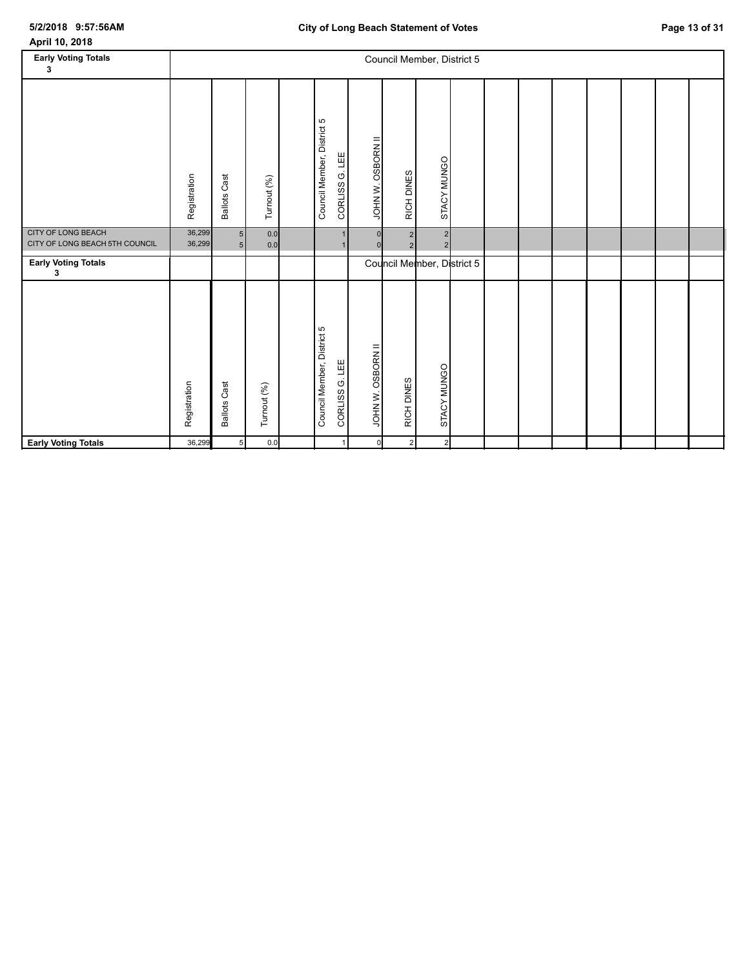| <b>Early Voting Totals</b><br>3                      |                  |                                  |             |                                  |                   |                   |            | Council Member, District 5 |  |  |
|------------------------------------------------------|------------------|----------------------------------|-------------|----------------------------------|-------------------|-------------------|------------|----------------------------|--|--|
|                                                      | Registration     | Cast<br>Ballots                  | Turnout (%) | S<br>District<br>Council Member, | 出<br>Ö<br>CORLISS | JOHN W. OSBORN II | RICH DINES | STACY MUNGO                |  |  |
| CITY OF LONG BEACH<br>CITY OF LONG BEACH 5TH COUNCIL | 36,299<br>36,299 | 5 <sub>5</sub><br>5 <sub>l</sub> | 0.0<br>0.0  |                                  |                   |                   |            |                            |  |  |
| <b>Early Voting Totals</b><br>3                      |                  |                                  |             |                                  |                   |                   |            | Council Member, District 5 |  |  |

| $\ddot{\phantom{0}}$                                 |                  |                            |             |                            |                |                          |                                  |                              |  |  |  |  |
|------------------------------------------------------|------------------|----------------------------|-------------|----------------------------|----------------|--------------------------|----------------------------------|------------------------------|--|--|--|--|
|                                                      | Registration     | <b>Ballots Cast</b>        | Turnout (%) | Council Member, District 5 | CORLISS G. LEE | <b>JOHN W. OSBORN II</b> | RICH DINES                       | STACY MUNGO                  |  |  |  |  |
| CITY OF LONG BEACH<br>CITY OF LONG BEACH 5TH COUNCIL | 36,299<br>36,299 | $5\vert$<br>5 <sup>1</sup> | 0.0<br>0.0  |                            |                | 0 <br>$\mathbf 0$        | $\overline{2}$<br>$\overline{2}$ | $\sqrt{2}$<br>2 <sub>1</sub> |  |  |  |  |
| <b>Early Voting Totals</b><br>3                      |                  |                            |             |                            |                |                          |                                  | Council Member, District 5   |  |  |  |  |
|                                                      | Registration     | <b>Ballots Cast</b>        | Turnout (%) | Council Member, District 5 | CORLISS G. LEE | <b>JOHN W. OSBORN II</b> | RICH DINES                       | <b>STACY MUNGO</b>           |  |  |  |  |
| <b>Early Voting Totals</b>                           | 36,299           | 5 <sub>1</sub>             | 0.0         |                            |                | $\circ$                  | $\overline{2}$                   | $2 \overline{ }$             |  |  |  |  |
|                                                      |                  |                            |             |                            |                |                          |                                  |                              |  |  |  |  |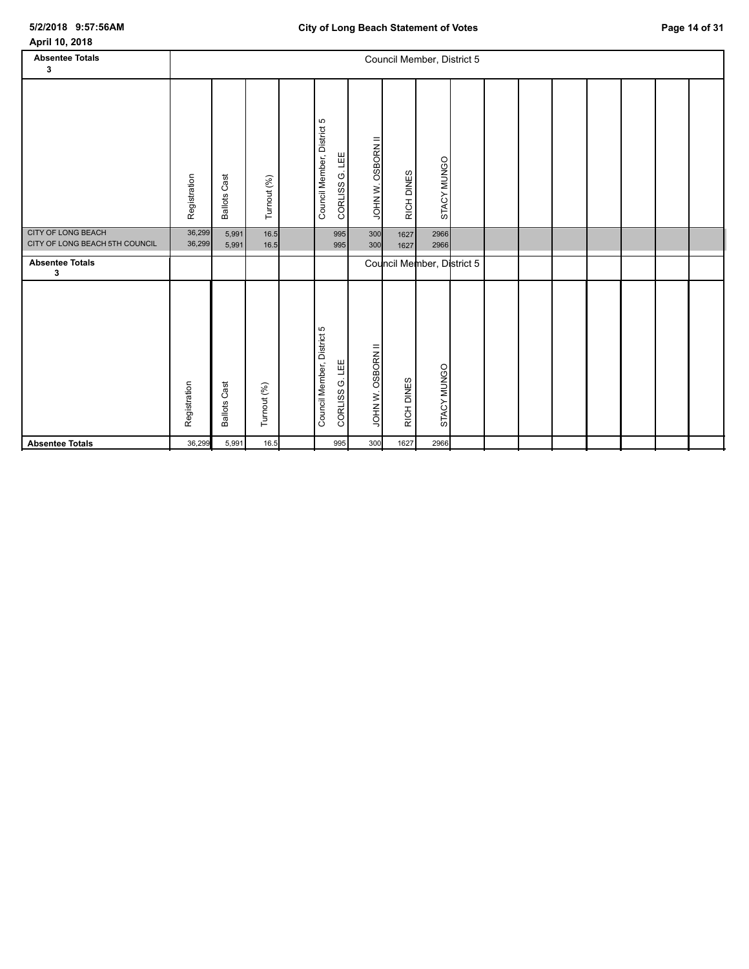| April 10, 2018                                              |                  |                     |              |                                              |                          |              |                            |  |  |  |  |
|-------------------------------------------------------------|------------------|---------------------|--------------|----------------------------------------------|--------------------------|--------------|----------------------------|--|--|--|--|
| <b>Absentee Totals</b>                                      |                  |                     |              |                                              |                          |              | Council Member, District 5 |  |  |  |  |
| 3                                                           |                  |                     |              |                                              |                          |              |                            |  |  |  |  |
|                                                             | Registration     | <b>Ballots Cast</b> | Turnout (%)  | Council Member, District 5<br>CORLISS G. LEE | <b>JOHN W. OSBORN II</b> | RICH DINES   | STACY MUNGO                |  |  |  |  |
| <b>CITY OF LONG BEACH</b><br>CITY OF LONG BEACH 5TH COUNCIL | 36,299<br>36,299 | 5,991<br>5,991      | 16.5<br>16.5 | 995<br>995                                   | 300<br>300               | 1627<br>1627 | 2966<br>2966               |  |  |  |  |
| <b>Absentee Totals</b><br>3                                 |                  |                     |              |                                              |                          |              | Council Member, District 5 |  |  |  |  |
|                                                             | Registration     | <b>Ballots Cast</b> | Turnout (%)  | Council Member, District 5<br>CORLISS G. LEE | <b>JOHN W. OSBORN II</b> | RICH DINES   | STACY MUNGO                |  |  |  |  |
| <b>Absentee Totals</b>                                      | 36,299           | 5,991               | 16.5         | 995                                          | 300                      | 1627         | 2966                       |  |  |  |  |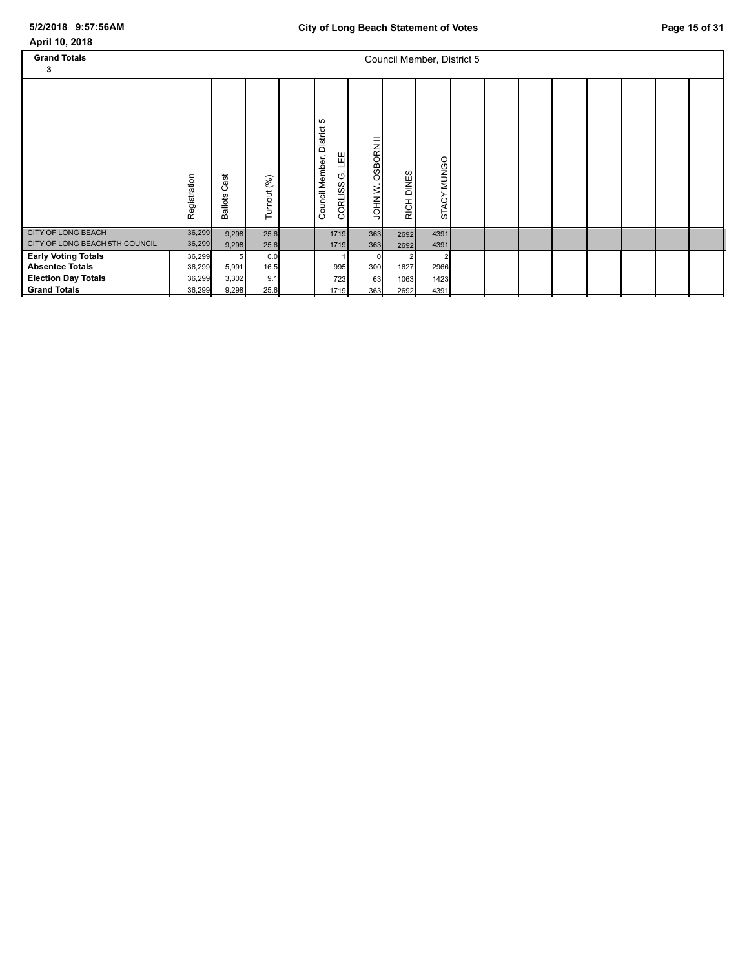| April 10, 2018                                                                                            |                                      |                              |                            |                                                            |                  |                      |                            |  |  |  |  |
|-----------------------------------------------------------------------------------------------------------|--------------------------------------|------------------------------|----------------------------|------------------------------------------------------------|------------------|----------------------|----------------------------|--|--|--|--|
| <b>Grand Totals</b><br>3                                                                                  |                                      |                              |                            |                                                            |                  |                      | Council Member, District 5 |  |  |  |  |
|                                                                                                           | Registration                         | ast<br>ပ<br><b>Ballots</b>   | Turnout (%)                | 5<br>District<br>Ш<br>Council Member,<br>O<br>ၯ<br>CORLISS | <b>DSBORN II</b> | DINES<br><b>RICH</b> | STACY MUNGO                |  |  |  |  |
| <b>CITY OF LONG BEACH</b><br>CITY OF LONG BEACH 5TH COUNCIL                                               | 36,299<br>36,299                     | 9,298<br>9,298               | 25.6<br>25.6               | 1719<br>1719                                               | 363<br>363       | 2692<br>2692         | 4391<br>4391               |  |  |  |  |
| <b>Early Voting Totals</b><br><b>Absentee Totals</b><br><b>Election Day Totals</b><br><b>Grand Totals</b> | 36,299<br>36,299<br>36,299<br>36,299 | 5<br>5,991<br>3,302<br>9,298 | 0.0<br>16.5<br>9.1<br>25.6 | 995<br>723<br>1719                                         | 300<br>63<br>363 | 1627<br>1063<br>2692 | 2966<br>1423<br>4391       |  |  |  |  |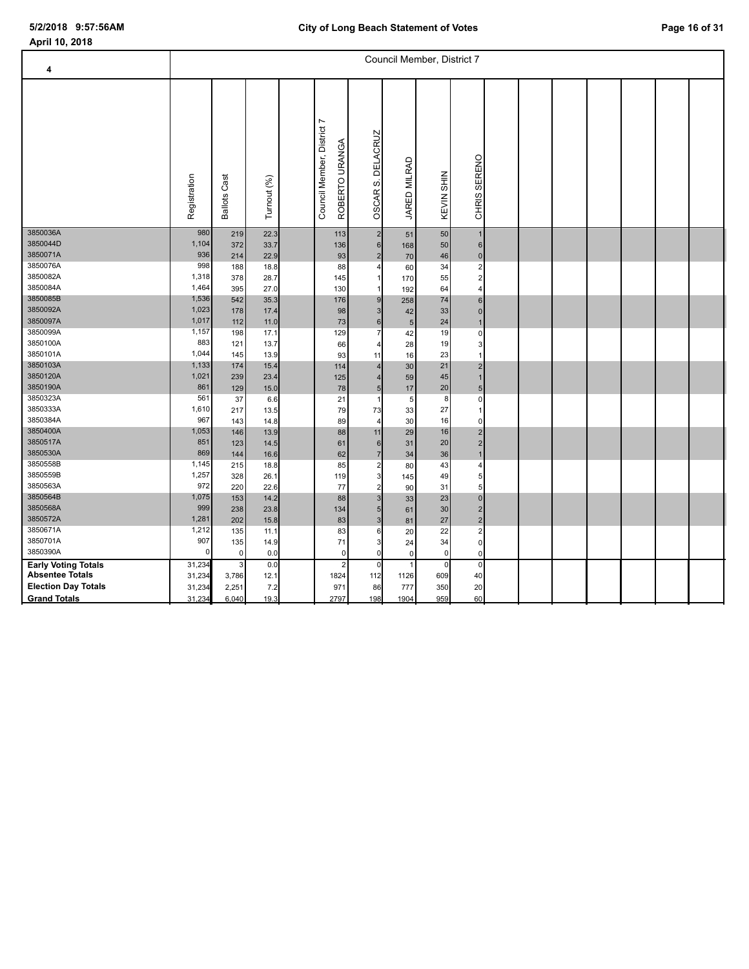| 4                          |              |                        |              |                                                 |                                                    |              | Council Member, District 7 |                              |  |  |  |  |
|----------------------------|--------------|------------------------|--------------|-------------------------------------------------|----------------------------------------------------|--------------|----------------------------|------------------------------|--|--|--|--|
|                            | Registration | Cast<br><b>Ballots</b> | Turnout (%)  | Ľ<br>Council Member, District<br>ROBERTO URANGA | <b>DELACRUZ</b><br>o,<br><b>OSCAR</b>              | JARED MILRAD | KEVIN SHIN                 | SERENO<br>CHRIS <sub>S</sub> |  |  |  |  |
| 3850036A<br>3850044D       | 980<br>1,104 | 219                    | 22.3         | 113                                             | $\overline{\mathbf{c}}$                            | 51           | 50<br>50                   | $\overline{1}$               |  |  |  |  |
| 3850071A                   | 936          | 372<br>214             | 33.7<br>22.9 | 136<br>93                                       | 6<br>$\overline{\mathbf{c}}$                       | 168<br>70    | 46                         | $6 \mid$<br>0                |  |  |  |  |
| 3850076A                   | 998          | 188                    | 18.8         | 88                                              | 4                                                  | 60           | 34                         | $\mathbf 2$                  |  |  |  |  |
| 3850082A                   | 1,318        | 378                    | 28.7         | 145                                             | 1                                                  | 170          | 55                         | $\overline{\mathbf{c}}$      |  |  |  |  |
| 3850084A                   | 1,464        | 395                    | 27.0         | 130                                             |                                                    | 192          | 64                         | 4                            |  |  |  |  |
| 3850085B                   | 1,536        | 542                    | 35.3         | 176                                             | $\boldsymbol{9}$                                   | 258          | 74                         | $\,6\,$                      |  |  |  |  |
| 3850092A                   | 1,023        | 178                    | 17.4         | 98                                              | 3                                                  | 42           | 33                         | $\overline{0}$               |  |  |  |  |
| 3850097A                   | 1,017        | 112                    | 11.0         | 73                                              | $\mathbf 6$                                        | 5            | 24                         | $\mathbf{1}$                 |  |  |  |  |
| 3850099A                   | 1,157        | 198                    | 17.1         | 129                                             | $\overline{7}$                                     | 42           | 19                         | 0                            |  |  |  |  |
| 3850100A                   | 883          | 121                    | 13.7         | 66                                              | 4                                                  | 28           | 19                         | 3 <sup>1</sup>               |  |  |  |  |
| 3850101A                   | 1,044        | 145                    | 13.9         | 93                                              | 11                                                 | 16           | 23                         | $\mathbf{1}$                 |  |  |  |  |
| 3850103A                   | 1,133        | 174                    | 15.4         | 114                                             | $\overline{4}$                                     | 30           | 21                         | $\overline{\mathbf{c}}$      |  |  |  |  |
| 3850120A                   | 1,021        | 239                    | 23.4         | 125                                             | $\overline{\mathbf{r}}$                            | 59           | 45                         | $\mathbf{1}$                 |  |  |  |  |
| 3850190A                   | 861          | 129                    | 15.0         | 78                                              | $\overline{5}$                                     | 17           | 20                         | 5 <sup>1</sup>               |  |  |  |  |
| 3850323A                   | 561          | 37                     | 6.6          | 21                                              |                                                    | 5            | 8                          | 0                            |  |  |  |  |
| 3850333A                   | 1,610        | 217                    | 13.5         | 79                                              | 73                                                 | 33           | 27                         | 1                            |  |  |  |  |
| 3850384A                   | 967          | 143                    | 14.8         | 89                                              | 4                                                  | 30           | 16                         | 0                            |  |  |  |  |
| 3850400A                   | 1,053        | 146                    | 13.9         | 88                                              | 11                                                 | 29           | 16                         | $\sqrt{2}$                   |  |  |  |  |
| 3850517A                   | 851          | 123                    | 14.5         | 61                                              | $6\phantom{1}$                                     | 31           | 20                         | $\overline{2}$               |  |  |  |  |
| 3850530A<br>3850558B       | 869<br>1,145 | 144                    | 16.6         | 62                                              | $\overline{7}$                                     | 34           | 36                         | $\overline{1}$               |  |  |  |  |
| 3850559B                   | 1,257        | 215                    | 18.8         | 85                                              | $\overline{\mathbf{c}}$                            | 80           | 43                         | 4                            |  |  |  |  |
| 3850563A                   | 972          | 328<br>220             | 26.1<br>22.6 | 119<br>77                                       | $\overline{\mathbf{3}}$<br>$\overline{\mathbf{c}}$ | 145          | 49<br>31                   | 5 <sup>1</sup><br>5          |  |  |  |  |
| 3850564B                   | 1,075        | 153                    | 14.2         | 88                                              | $\mathsf 3$                                        | 90<br>33     | 23                         | $\mathbf 0$                  |  |  |  |  |
| 3850568A                   | 999          | 238                    | 23.8         | 134                                             | $\overline{5}$                                     | 61           | 30                         | $\overline{2}$               |  |  |  |  |
| 3850572A                   | 1,281        | 202                    | 15.8         | 83                                              | $\mathbf{3}$                                       | 81           | 27                         | $\overline{2}$               |  |  |  |  |
| 3850671A                   | 1,212        | 135                    | 11.1         | 83                                              | 6                                                  | 20           | 22                         | $\mathbf 2$                  |  |  |  |  |
| 3850701A                   | 907          | 135                    | 14.9         | 71                                              | 3                                                  | 24           | 34                         | $\overline{0}$               |  |  |  |  |
| 3850390A                   | $\mathbf 0$  | $\mathbf 0$            | 0.0          | $\mathbf 0$                                     | $\mathbf 0$                                        | $\pmb{0}$    | $\mathbf 0$                | 0                            |  |  |  |  |
| <b>Early Voting Totals</b> | 31,234       | 3                      | 0.0          | $\overline{2}$                                  | $\mathbf 0$                                        |              | $\mathbf 0$                | $\overline{0}$               |  |  |  |  |
| <b>Absentee Totals</b>     | 31,234       | 3,786                  | 12.1         | 1824                                            | 112                                                | 1126         | 609                        | 40                           |  |  |  |  |
| <b>Election Day Totals</b> | 31,234       | 2,251                  | 7.2          | 971                                             | 86                                                 | 777          | 350                        | 20                           |  |  |  |  |
| <b>Grand Totals</b>        | 31,234       | 6,040                  | 19.3         | 2797                                            | 198                                                | 1904         | 959                        | 60                           |  |  |  |  |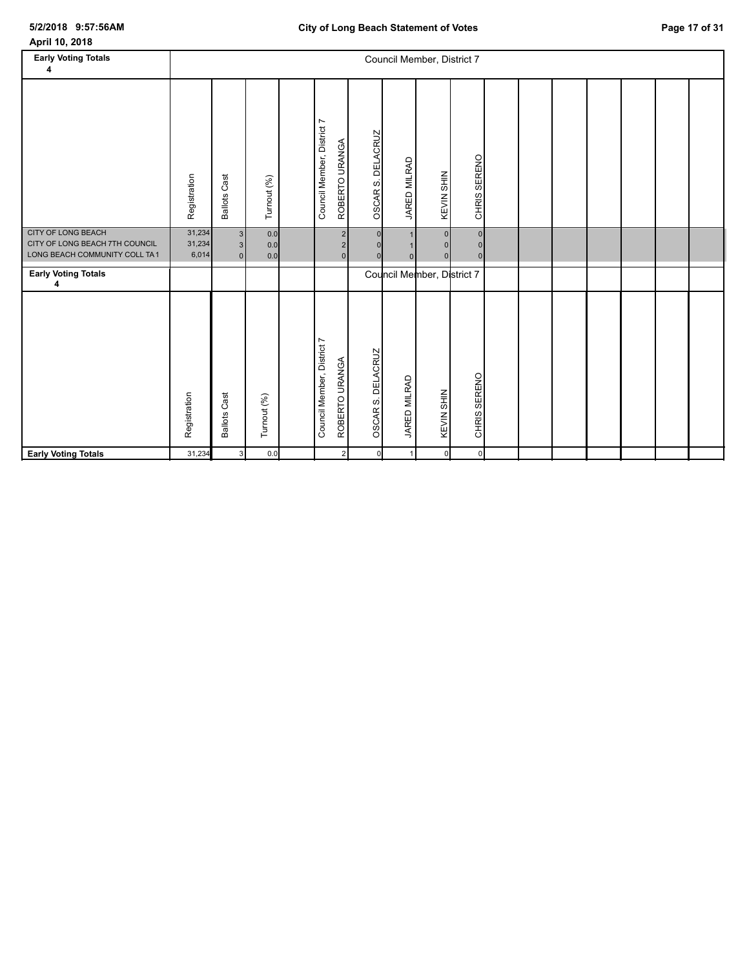| April 10, 2018 |  |  |  |
|----------------|--|--|--|
|----------------|--|--|--|

| <b>Early Voting Totals</b><br>4                                                       |                           |                                                                        |                   |                                                             |                   |              | Council Member, District 7                         |                                  |  |  |  |  |
|---------------------------------------------------------------------------------------|---------------------------|------------------------------------------------------------------------|-------------------|-------------------------------------------------------------|-------------------|--------------|----------------------------------------------------|----------------------------------|--|--|--|--|
|                                                                                       | Registration              | <b>Ballots Cast</b>                                                    | Turnout (%)       | Council Member, District 7<br>ROBERTO URANGA                | OSCAR S. DELACRUZ | JARED MILRAD | KEVIN SHIN                                         | CHRIS SERENO                     |  |  |  |  |
| CITY OF LONG BEACH<br>CITY OF LONG BEACH 7TH COUNCIL<br>LONG BEACH COMMUNITY COLL TA1 | 31,234<br>31,234<br>6,014 | $\ensuremath{\mathsf{3}}$<br>$\overline{\mathbf{3}}$<br>$\overline{0}$ | 0.0<br>0.0<br>0.0 | $\overline{2}$<br>$\overline{\mathbf{c}}$<br>$\overline{0}$ |                   | $\Omega$     | $\overline{0}$<br>$\overline{0}$<br>$\overline{0}$ | $\pmb{0}$<br>0<br>$\overline{0}$ |  |  |  |  |
| <b>Early Voting Totals</b><br>4                                                       |                           |                                                                        |                   |                                                             |                   |              | Council Member, District 7                         |                                  |  |  |  |  |
|                                                                                       | Registration              | <b>Ballots Cast</b>                                                    | Turnout (%)       | Council Member, District 7<br>ROBERTO URANGA                | OSCAR S. DELACRUZ | JARED MILRAD | <b>KEVIN SHIN</b>                                  | <b>CHRIS SERENO</b>              |  |  |  |  |
| <b>Early Voting Totals</b>                                                            | 31,234                    | $\mathbf{3}$                                                           | 0.0               | $\overline{2}$                                              | $\overline{0}$    | 1            | $\circ$                                            | $\circ$                          |  |  |  |  |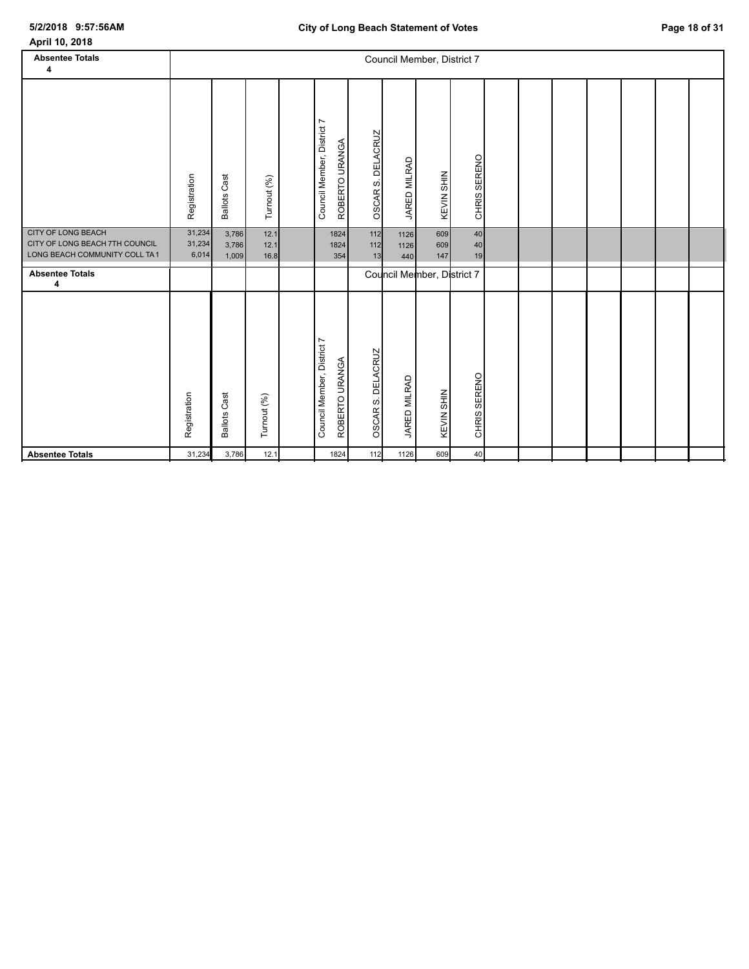| April 10, 2018                                                                        |                           |                         |                      |                                              |                                         |                     |                            |                |  |  |  |  |
|---------------------------------------------------------------------------------------|---------------------------|-------------------------|----------------------|----------------------------------------------|-----------------------------------------|---------------------|----------------------------|----------------|--|--|--|--|
| <b>Absentee Totals</b><br>4                                                           |                           |                         |                      |                                              |                                         |                     | Council Member, District 7 |                |  |  |  |  |
|                                                                                       | Registration              | <b>Ballots Cast</b>     | Turnout (%)          | Council Member, District 7<br>ROBERTO URANGA | OSCAR S. DELACRUZ                       | JARED MILRAD        | KEVIN SHIN                 | CHRIS SERENO   |  |  |  |  |
| CITY OF LONG BEACH<br>CITY OF LONG BEACH 7TH COUNCIL<br>LONG BEACH COMMUNITY COLL TA1 | 31,234<br>31,234<br>6,014 | 3,786<br>3,786<br>1,009 | 12.1<br>12.1<br>16.8 | 1824<br>1824<br>354                          | $112$<br>$112$<br>13                    | 1126<br>1126<br>440 | 609<br>609<br>147          | 40<br>40<br>19 |  |  |  |  |
| <b>Absentee Totals</b><br>4                                                           |                           |                         |                      |                                              |                                         |                     | Council Member, District 7 |                |  |  |  |  |
|                                                                                       | Registration              | <b>Ballots Cast</b>     | Turnout (%)          | Council Member, District 7<br>ROBERTO URANGA | <b>DELACRUZ</b><br>OSCAR <sub>S</sub> . | JARED MILRAD        | KEVIN SHIN                 | CHRIS SERENO   |  |  |  |  |
| <b>Absentee Totals</b>                                                                | 31,234                    | 3,786                   | 12.1                 | 1824                                         | 112                                     | 1126                | 609                        | 40             |  |  |  |  |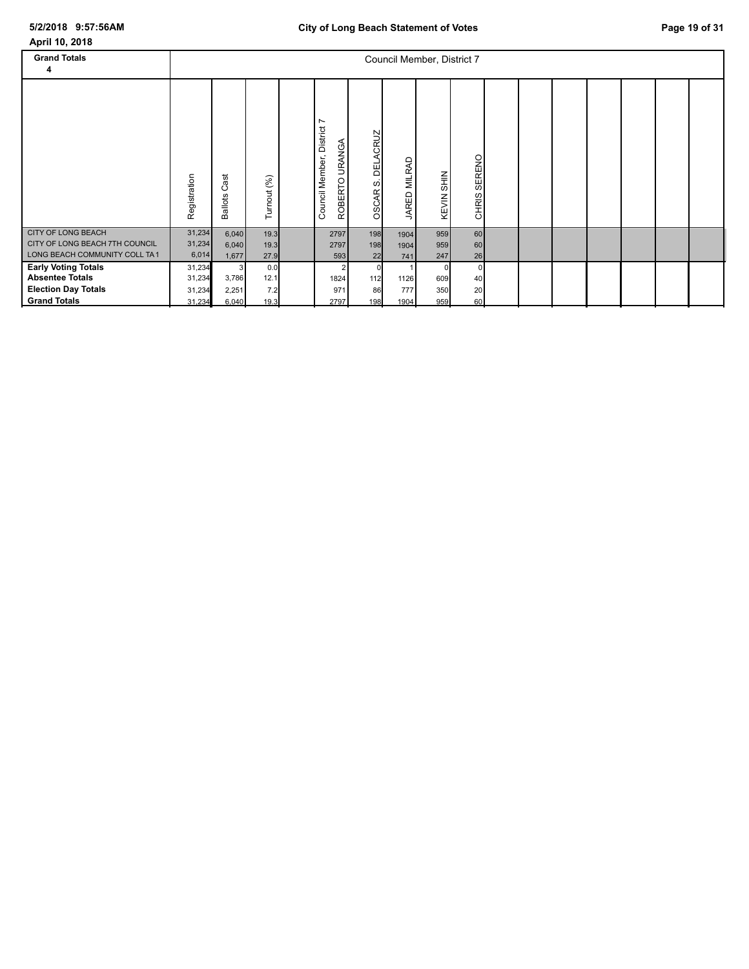| April 10, 2018                 |              |                                |             |                                                                  |                                      |                               |                            |                |  |  |  |  |
|--------------------------------|--------------|--------------------------------|-------------|------------------------------------------------------------------|--------------------------------------|-------------------------------|----------------------------|----------------|--|--|--|--|
| <b>Grand Totals</b>            |              |                                |             |                                                                  |                                      |                               | Council Member, District 7 |                |  |  |  |  |
| 4                              |              |                                |             |                                                                  |                                      |                               |                            |                |  |  |  |  |
|                                |              |                                |             |                                                                  |                                      |                               |                            |                |  |  |  |  |
|                                | Registration | ä<br>$\circ$<br><b>Ballots</b> | Turnout (%) | L<br>Council Member, District<br><b>URANGA</b><br><b>ROBERTO</b> | <b>DELACRUZ</b><br>ဟ<br><b>OSCAR</b> | <b>MILRAD</b><br><b>JARED</b> | <b>KEVIN SHIN</b>          | CHRIS SERENO   |  |  |  |  |
| CITY OF LONG BEACH             | 31,234       | 6,040                          | 19.3        | 2797                                                             | 198                                  | 1904                          | 959                        | 60             |  |  |  |  |
| CITY OF LONG BEACH 7TH COUNCIL | 31,234       | 6,040                          | 19.3        | 2797                                                             | 198                                  | 1904                          | 959                        | 60             |  |  |  |  |
| LONG BEACH COMMUNITY COLL TA1  | 6,014        | 1,677                          | 27.9        | 593                                                              | 22                                   | 741                           | 247                        | 26             |  |  |  |  |
| <b>Early Voting Totals</b>     | 31,234       | 3                              | 0.0         |                                                                  |                                      |                               |                            | $\overline{0}$ |  |  |  |  |
| <b>Absentee Totals</b>         | 31,234       | 3,786                          | 12.1        | 1824                                                             | 112                                  | 1126                          | 609                        | 40             |  |  |  |  |
| <b>Election Day Totals</b>     | 31,234       | 2,251                          | 7.2         | 971                                                              | 86                                   | 777                           | 350                        | 20             |  |  |  |  |
| <b>Grand Totals</b>            | 31,234       | 6,040                          | 19.3        | 2797                                                             | 198                                  | 1904                          | 959                        | 60             |  |  |  |  |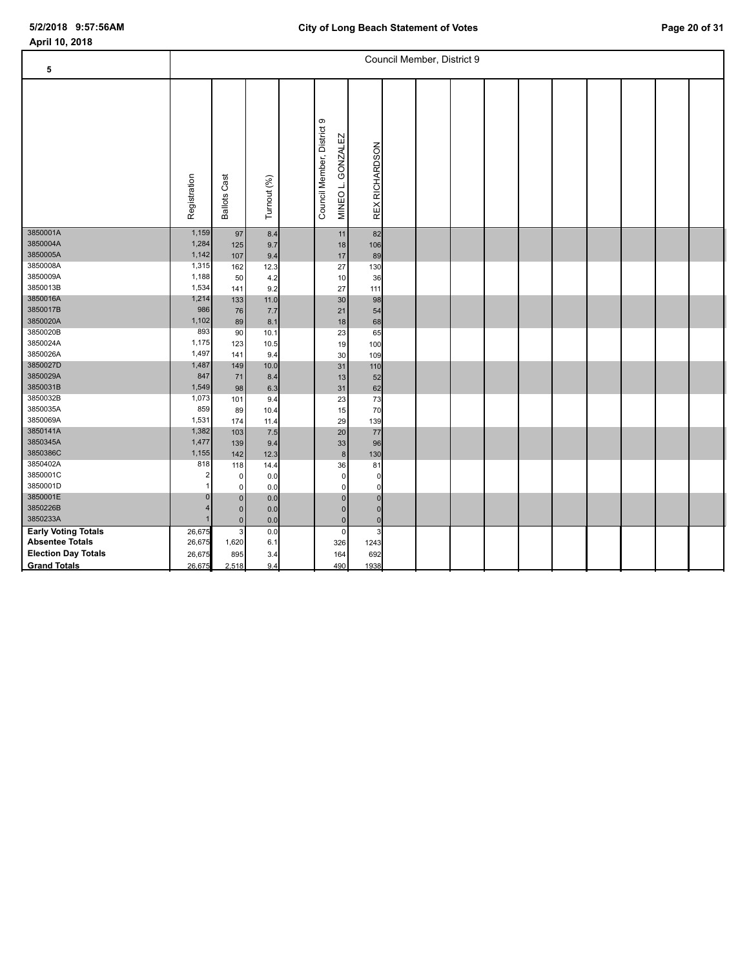| 5                          |                |                      |             |                                                           |                                            | Council Member, District 9 |  |  |  |  |
|----------------------------|----------------|----------------------|-------------|-----------------------------------------------------------|--------------------------------------------|----------------------------|--|--|--|--|
|                            | Registration   | <b>Ballots Cast</b>  | Turnout (%) | Council Member, District 9<br><b>GONZALEZ</b><br>MINEO L. | REX RICHARDSON                             |                            |  |  |  |  |
| 3850001A<br>3850004A       | 1,159<br>1,284 | 97                   | 8.4         | 11                                                        | 82                                         |                            |  |  |  |  |
| 3850005A                   | 1,142          | 125<br>107           | 9.7<br>9.4  | $18$<br>17                                                | 106<br>89                                  |                            |  |  |  |  |
| 3850008A                   | 1,315          | 162                  | 12.3        | 27                                                        | 130                                        |                            |  |  |  |  |
| 3850009A                   | 1,188          | 50                   | 4.2         | 10                                                        | 36                                         |                            |  |  |  |  |
| 3850013B                   | 1,534          | 141                  | 9.2         | 27                                                        | 111                                        |                            |  |  |  |  |
| 3850016A                   | 1,214          | 133                  | 11.0        | 30                                                        | 98                                         |                            |  |  |  |  |
| 3850017B                   | 986            | 76                   | 7.7         | 21                                                        | 54                                         |                            |  |  |  |  |
| 3850020A                   | 1,102          | 89                   | 8.1         | 18                                                        | 68                                         |                            |  |  |  |  |
| 3850020B<br>3850024A       | 893<br>1,175   | 90                   | 10.1        | 23                                                        | 65                                         |                            |  |  |  |  |
| 3850026A                   | 1,497          | 123                  | 10.5<br>9.4 | 19<br>30                                                  | 100<br>109                                 |                            |  |  |  |  |
| 3850027D                   | 1,487          | 141<br>149           | 10.0        | 31                                                        | 110                                        |                            |  |  |  |  |
| 3850029A                   | 847            | 71                   | 8.4         | 13                                                        | 52                                         |                            |  |  |  |  |
| 3850031B                   | 1,549          | 98                   | 6.3         | 31                                                        | 62                                         |                            |  |  |  |  |
| 3850032B                   | 1,073          | 101                  | 9.4         | 23                                                        | 73                                         |                            |  |  |  |  |
| 3850035A                   | 859            | 89                   | 10.4        | 15                                                        | 70                                         |                            |  |  |  |  |
| 3850069A                   | 1,531          | 174                  | 11.4        | 29                                                        | 139                                        |                            |  |  |  |  |
| 3850141A                   | 1,382          | 103                  | 7.5         | 20                                                        | 77                                         |                            |  |  |  |  |
| 3850345A                   | 1,477          | 139                  | 9.4         | $33\,$                                                    | 96                                         |                            |  |  |  |  |
| 3850386C                   | 1,155          | 142                  | 12.3        |                                                           | $\bf8$<br>130                              |                            |  |  |  |  |
| 3850402A                   | 818            | 118                  | 14.4        | 36                                                        | 81                                         |                            |  |  |  |  |
| 3850001C                   | 2              | $\pmb{0}$            | 0.0         |                                                           | $\pmb{0}$<br>$\Omega$                      |                            |  |  |  |  |
| 3850001D                   |                | 0                    | 0.0         |                                                           | $\mathbf 0$<br>$\Omega$                    |                            |  |  |  |  |
| 3850001E<br>3850226B       | $\Omega$       | $\mathbf{0}$         | 0.0         |                                                           | $\mathbf 0$<br>$\Omega$                    |                            |  |  |  |  |
| 3850233A                   |                | $\pmb{0}$<br>$\bf 0$ | 0.0         |                                                           | $\mathbf 0$<br>$\mathbf 0$                 |                            |  |  |  |  |
| <b>Early Voting Totals</b> | 26,675         | 3                    | 0.0<br>0.0  |                                                           | $\pmb{0}$<br>$\mathbf 0$<br>$\pmb{0}$<br>3 |                            |  |  |  |  |
| <b>Absentee Totals</b>     | 26,675         | 1,620                | 6.1         | 326                                                       | 1243                                       |                            |  |  |  |  |
| <b>Election Day Totals</b> | 26,675         | 895                  | 3.4         | 164                                                       | 692                                        |                            |  |  |  |  |
| <b>Grand Totals</b>        | 26,675         | 2,518                | 9.4         | 490                                                       | 1938                                       |                            |  |  |  |  |
|                            |                |                      |             |                                                           |                                            |                            |  |  |  |  |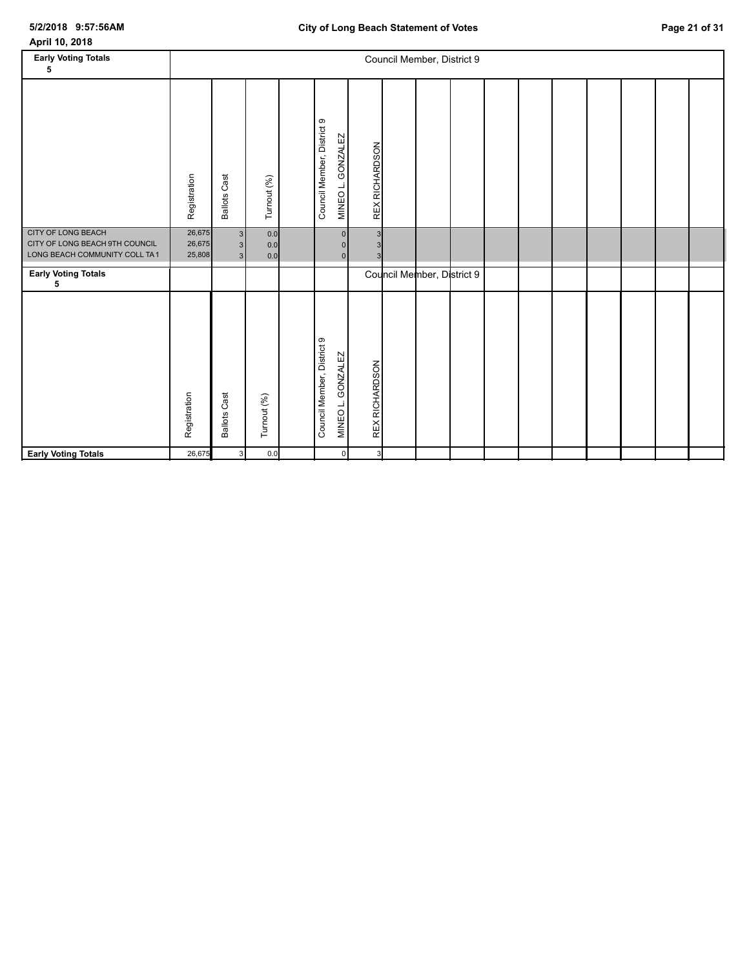| April 10, 2018 |  |
|----------------|--|
|----------------|--|

| <b>Early Voting Totals</b><br>5                                                              |                            |                                                             |                   |                                                                |                       | Council Member, District 9 |  |  |  |  |
|----------------------------------------------------------------------------------------------|----------------------------|-------------------------------------------------------------|-------------------|----------------------------------------------------------------|-----------------------|----------------------------|--|--|--|--|
|                                                                                              | Registration               | <b>Ballots Cast</b>                                         | Turnout (%)       | Council Member, District 9<br>GONZALEZ<br>نــ<br>MINEO I       | <b>REX RICHARDSON</b> |                            |  |  |  |  |
| <b>CITY OF LONG BEACH</b><br>CITY OF LONG BEACH 9TH COUNCIL<br>LONG BEACH COMMUNITY COLL TA1 | 26,675<br>26,675<br>25,808 | $\mathbf{3}$<br>$\ensuremath{\mathsf{3}}$<br>3 <sup>1</sup> | 0.0<br>0.0<br>0.0 | $\overline{0}$<br>$\overline{0}$<br>$\overline{0}$             | 3                     |                            |  |  |  |  |
| <b>Early Voting Totals</b><br>5                                                              |                            |                                                             |                   |                                                                |                       | Council Member, District 9 |  |  |  |  |
|                                                                                              | Registration               | <b>Ballots Cast</b>                                         | Turnout (%)       | Council Member, District 9<br><b>GONZALEZ</b><br>نـ<br>MINEO I | REX RICHARDSON        |                            |  |  |  |  |
| <b>Early Voting Totals</b>                                                                   | 26,675                     | $\mathbf{3}$                                                | 0.0               | $\circ$                                                        | 3                     |                            |  |  |  |  |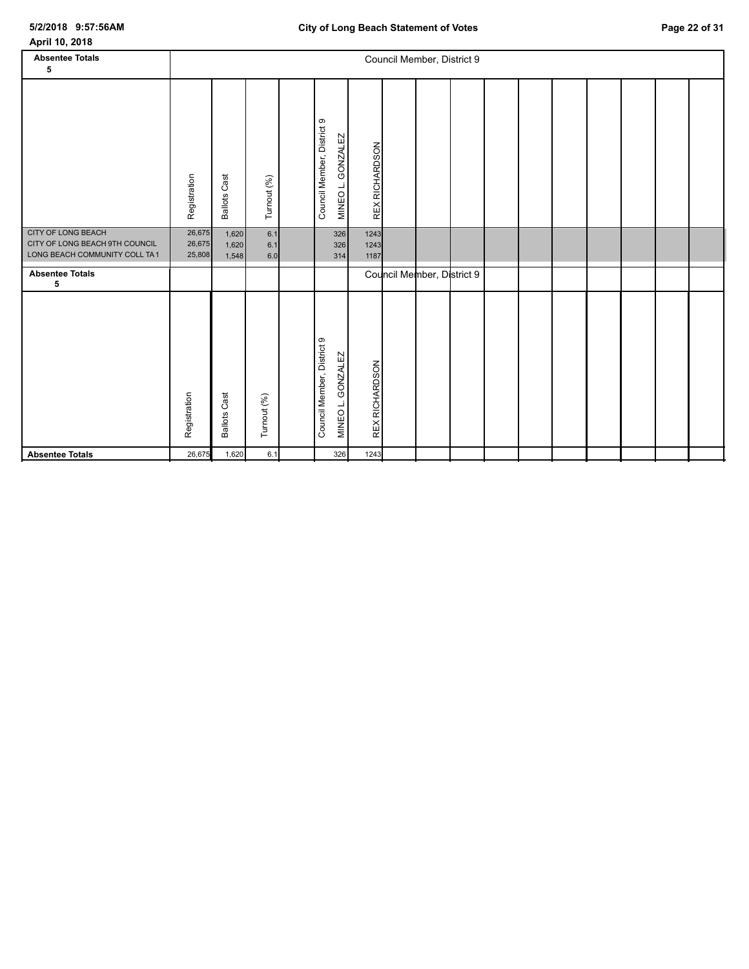| April 10, 2018                                                                               |                            |                         |                   |                                                 |                      |                            |  |  |  |  |
|----------------------------------------------------------------------------------------------|----------------------------|-------------------------|-------------------|-------------------------------------------------|----------------------|----------------------------|--|--|--|--|
| <b>Absentee Totals</b><br>5                                                                  |                            |                         |                   |                                                 |                      | Council Member, District 9 |  |  |  |  |
|                                                                                              | Registration               | <b>Ballots Cast</b>     | Turnout (%)       | Council Member, District 9<br>MINEO L. GONZALEZ | REX RICHARDSON       |                            |  |  |  |  |
| <b>CITY OF LONG BEACH</b><br>CITY OF LONG BEACH 9TH COUNCIL<br>LONG BEACH COMMUNITY COLL TA1 | 26,675<br>26,675<br>25,808 | 1,620<br>1,620<br>1,548 | 6.1<br>6.1<br>6.0 | 326<br>326<br>314                               | 1243<br>1243<br>1187 |                            |  |  |  |  |
| <b>Absentee Totals</b><br>5                                                                  |                            |                         |                   |                                                 |                      | Council Member, District 9 |  |  |  |  |
|                                                                                              | Registration               | <b>Ballots Cast</b>     | Turnout (%)       | Council Member, District 9<br>MINEO L. GONZALEZ | REX RICHARDSON       |                            |  |  |  |  |
| <b>Absentee Totals</b>                                                                       | 26,675                     | 1,620                   | 6.1               | 326                                             | 1243                 |                            |  |  |  |  |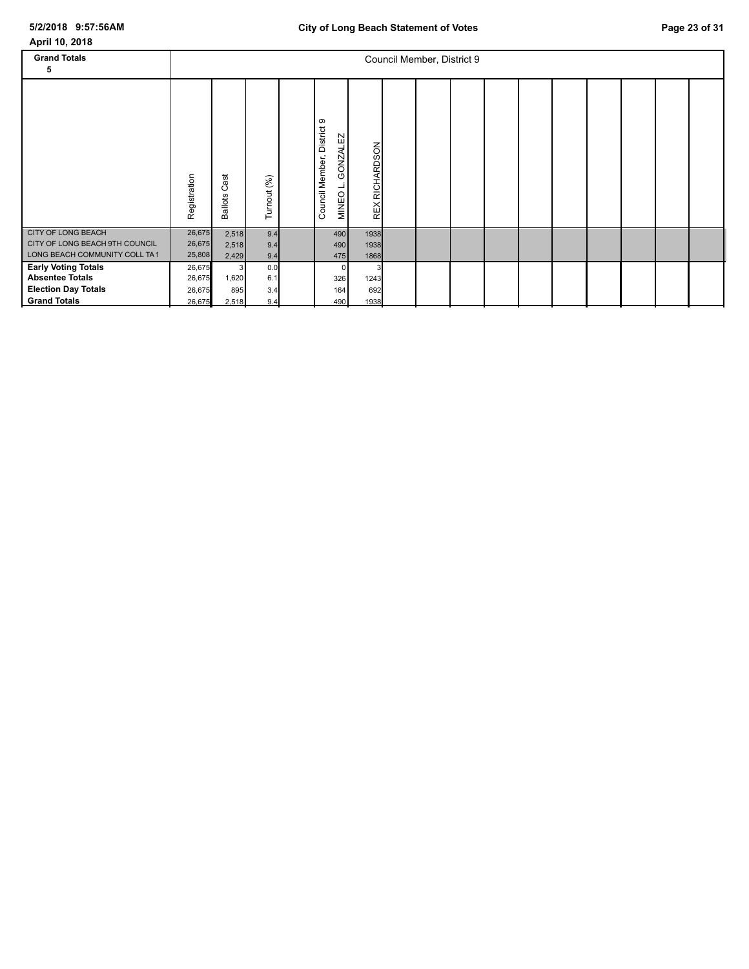| April 10, 2018                                                                                            |                                      |                                         |                          |                                                                     |                      |                            |  |  |  |  |
|-----------------------------------------------------------------------------------------------------------|--------------------------------------|-----------------------------------------|--------------------------|---------------------------------------------------------------------|----------------------|----------------------------|--|--|--|--|
| <b>Grand Totals</b><br>5                                                                                  |                                      |                                         |                          |                                                                     |                      | Council Member, District 9 |  |  |  |  |
|                                                                                                           | Registration                         | ast<br>ပ<br><b>Ballots</b>              | Turnout (%)              | ၜ<br><b>District</b><br><b>GONZALEZ</b><br>Council Member,<br>MINEO | REX RICHARDSON       |                            |  |  |  |  |
| <b>CITY OF LONG BEACH</b><br>CITY OF LONG BEACH 9TH COUNCIL<br>LONG BEACH COMMUNITY COLL TA1              | 26,675<br>26,675<br>25,808           | 2,518<br>2,518<br>2,429                 | 9.4<br>9.4<br>9.4        | 490<br>490<br>475                                                   | 1938<br>1938<br>1868 |                            |  |  |  |  |
| <b>Early Voting Totals</b><br><b>Absentee Totals</b><br><b>Election Day Totals</b><br><b>Grand Totals</b> | 26,675<br>26,675<br>26,675<br>26,675 | 3 <sup>1</sup><br>1,620<br>895<br>2,518 | 0.0<br>6.1<br>3.4<br>9.4 | 0<br>326<br>164<br>490                                              | 1243<br>692<br>1938  |                            |  |  |  |  |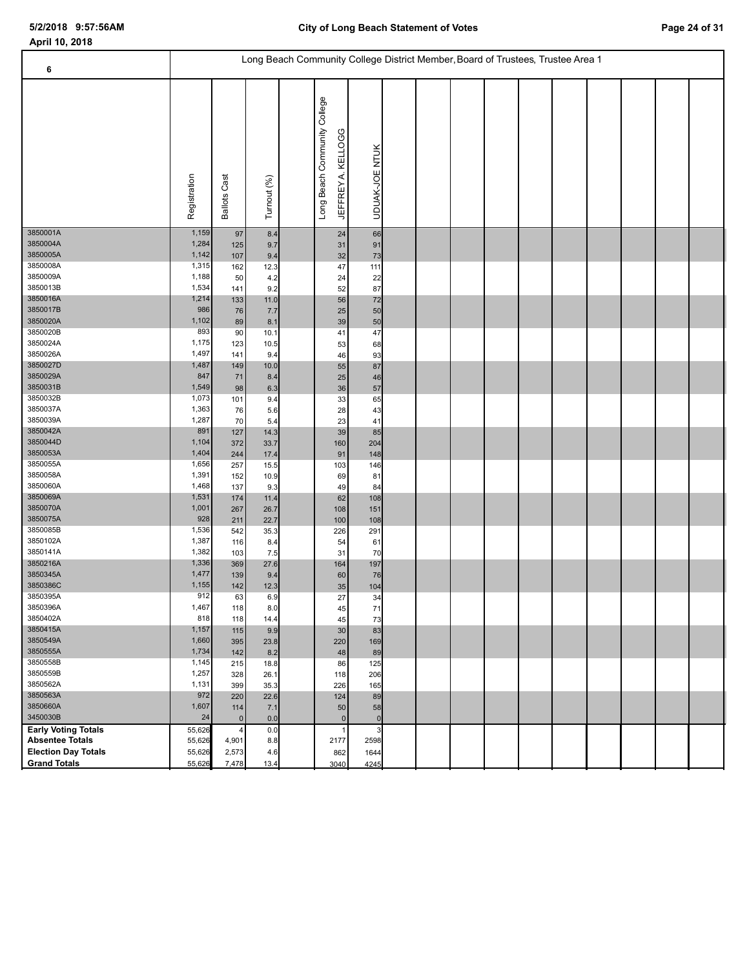| 6                                                    |                  |                     |              | Long Beach Community College District Member, Board of Trustees, Trustee Area 1 |                                                |                |  |  |  |  |  |
|------------------------------------------------------|------------------|---------------------|--------------|---------------------------------------------------------------------------------|------------------------------------------------|----------------|--|--|--|--|--|
|                                                      |                  |                     |              |                                                                                 |                                                |                |  |  |  |  |  |
|                                                      |                  |                     |              |                                                                                 | Long Beach Community College<br><b>KELLOGG</b> |                |  |  |  |  |  |
|                                                      | Registration     | <b>Ballots Cast</b> | Turnout (%)  |                                                                                 | JEFFREY A.                                     | UDUAK-JOE NTUK |  |  |  |  |  |
| 3850001A                                             | 1,159            | 97                  | 8.4          |                                                                                 | 24                                             | 66             |  |  |  |  |  |
| 3850004A<br>3850005A                                 | 1,284<br>1,142   | 125                 | 9.7          |                                                                                 | 31                                             | 91             |  |  |  |  |  |
| 3850008A                                             | 1,315            | 107<br>162          | 9.4<br>12.3  |                                                                                 | $32\,$<br>47                                   | 73<br>111      |  |  |  |  |  |
| 3850009A                                             | 1,188            | 50                  | 4.2          |                                                                                 | 24                                             | 22             |  |  |  |  |  |
| 3850013B                                             | 1,534            | 141                 | 9.2          |                                                                                 | 52                                             | 87             |  |  |  |  |  |
| 3850016A<br>3850017B                                 | 1,214<br>986     | 133                 | 11.0         |                                                                                 | 56                                             | 72             |  |  |  |  |  |
| 3850020A                                             | 1,102            | 76<br>89            | 7.7<br>8.1   |                                                                                 | $25\,$<br>$39\,$                               | 50<br>50       |  |  |  |  |  |
| 3850020B                                             | 893              | 90                  | 10.1         |                                                                                 | 41                                             | 47             |  |  |  |  |  |
| 3850024A                                             | 1,175            | 123                 | 10.5         |                                                                                 | 53                                             | 68             |  |  |  |  |  |
| 3850026A                                             | 1,497            | 141                 | 9.4          |                                                                                 | 46                                             | 93             |  |  |  |  |  |
| 3850027D<br>3850029A                                 | 1,487<br>847     | 149                 | 10.0         |                                                                                 | 55                                             | 87             |  |  |  |  |  |
| 3850031B                                             | 1,549            | 71<br>98            | 8.4<br>6.3   |                                                                                 | $25\,$<br>$36\,$                               | 46<br>57       |  |  |  |  |  |
| 3850032B                                             | 1,073            | 101                 | 9.4          |                                                                                 | 33                                             | 65             |  |  |  |  |  |
| 3850037A                                             | 1,363            | 76                  | 5.6          |                                                                                 | 28                                             | 43             |  |  |  |  |  |
| 3850039A                                             | 1,287            | 70                  | 5.4          |                                                                                 | 23                                             | 41             |  |  |  |  |  |
| 3850042A<br>3850044D                                 | 891<br>1,104     | 127                 | 14.3         |                                                                                 | 39                                             | 85             |  |  |  |  |  |
| 3850053A                                             | 1,404            | 372<br>244          | 33.7<br>17.4 |                                                                                 | 160<br>91                                      | 204<br>148     |  |  |  |  |  |
| 3850055A                                             | 1,656            | 257                 | 15.5         |                                                                                 | 103                                            | 146            |  |  |  |  |  |
| 3850058A                                             | 1,391            | 152                 | 10.9         |                                                                                 | 69                                             | 81             |  |  |  |  |  |
| 3850060A                                             | 1,468            | 137                 | 9.3          |                                                                                 | 49                                             | 84             |  |  |  |  |  |
| 3850069A<br>3850070A                                 | 1,531<br>1,001   | 174<br>267          | 11.4<br>26.7 |                                                                                 | 62                                             | 108<br>151     |  |  |  |  |  |
| 3850075A                                             | 928              | 211                 | 22.7         |                                                                                 | 108<br>100                                     | 108            |  |  |  |  |  |
| 3850085B                                             | 1,536            | 542                 | 35.3         |                                                                                 | 226                                            | 291            |  |  |  |  |  |
| 3850102A                                             | 1,387            | 116                 | 8.4          |                                                                                 | 54                                             | 61             |  |  |  |  |  |
| 3850141A                                             | 1,382            | 103                 | 7.5          |                                                                                 | 31                                             | 70             |  |  |  |  |  |
| 3850216A<br>3850345A                                 | 1,336<br>1,477   | 369<br>139          | 27.6<br>9.4  |                                                                                 | 164<br>60                                      | 197<br>76      |  |  |  |  |  |
| 3850386C                                             | 1,155            | $142$               | 12.3         |                                                                                 | $35\,$                                         | 104            |  |  |  |  |  |
| 3850395A                                             | 912              | 63                  | 6.9          |                                                                                 | 27                                             | 34             |  |  |  |  |  |
| 3850396A                                             | 1,467            | 118                 | 8.0          |                                                                                 | 45                                             | 71             |  |  |  |  |  |
| 3850402A<br>3850415A                                 | 818<br>1,157     | 118<br>115          | 14.4<br>9.9  |                                                                                 | 45<br>30                                       | 73<br>83       |  |  |  |  |  |
| 3850549A                                             | 1,660            | 395                 | 23.8         |                                                                                 | 220                                            | 169            |  |  |  |  |  |
| 3850555A                                             | 1,734            | 142                 | 8.2          |                                                                                 | 48                                             | 89             |  |  |  |  |  |
| 3850558B                                             | 1,145            | 215                 | 18.8         |                                                                                 | 86                                             | 125            |  |  |  |  |  |
| 3850559B<br>3850562A                                 | 1,257<br>1,131   | 328<br>399          | 26.1<br>35.3 |                                                                                 | 118                                            | 206            |  |  |  |  |  |
| 3850563A                                             | 972              | 220                 | 22.6         |                                                                                 | 226<br>124                                     | 165<br>89      |  |  |  |  |  |
| 3850660A                                             | 1,607            | 114                 | 7.1          |                                                                                 | 50                                             | 58             |  |  |  |  |  |
| 3450030B                                             | 24               | $\pmb{0}$           | 0.0          |                                                                                 | $\mathbf 0$                                    | $\Omega$       |  |  |  |  |  |
| <b>Early Voting Totals</b>                           | 55,626           | $\overline{4}$      | 0.0          |                                                                                 |                                                | p              |  |  |  |  |  |
| <b>Absentee Totals</b><br><b>Election Day Totals</b> | 55,626<br>55,626 | 4,901<br>2,573      | 8.8<br>4.6   |                                                                                 | 2177<br>862                                    | 2598<br>1644   |  |  |  |  |  |
| <b>Grand Totals</b>                                  | 55,626           | 7,478               | 13.4         |                                                                                 | 3040                                           | 4245           |  |  |  |  |  |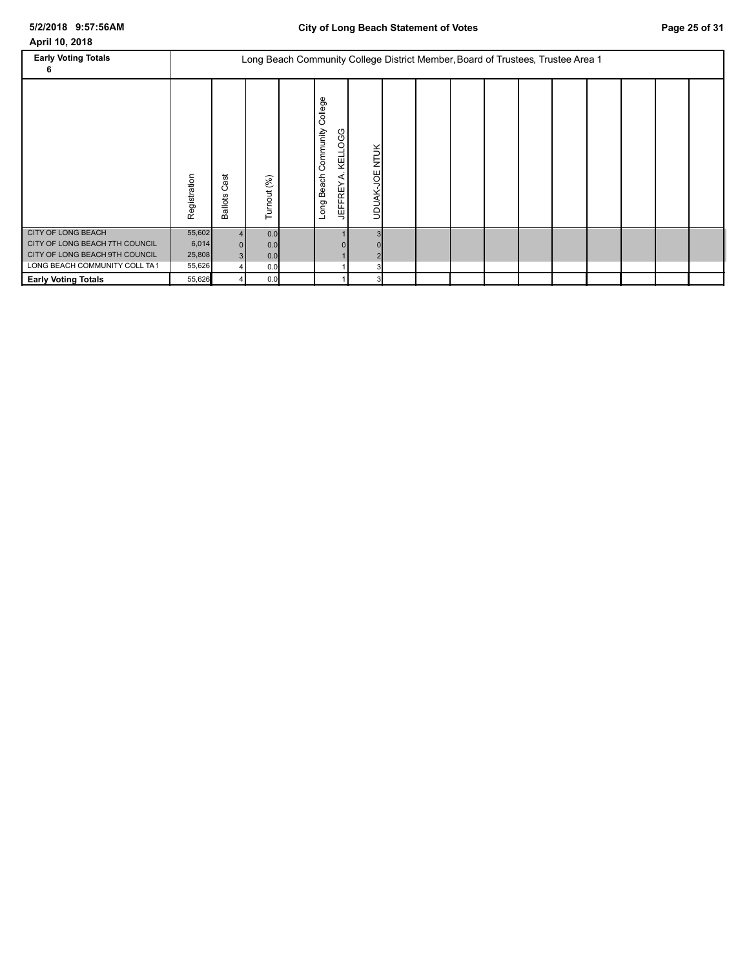| <b>Early Voting Totals</b>                                                                                              |                                     |                            |                          | Long Beach Community College District Member, Board of Trustees, Trustee Area 1 |                                                                                     |                |  |  |  |  |  |
|-------------------------------------------------------------------------------------------------------------------------|-------------------------------------|----------------------------|--------------------------|---------------------------------------------------------------------------------|-------------------------------------------------------------------------------------|----------------|--|--|--|--|--|
|                                                                                                                         | Registration                        | ast<br>ပ<br><b>Ballots</b> | Turnout (%)              |                                                                                 | College<br>Community<br>ပ္ပ<br>O<br>KELL<br>Beach<br>⋖<br>≻<br>巴<br>正<br>19<br>Long | UDUAK-JOE NTUK |  |  |  |  |  |
| CITY OF LONG BEACH<br>CITY OF LONG BEACH 7TH COUNCIL<br>CITY OF LONG BEACH 9TH COUNCIL<br>LONG BEACH COMMUNITY COLL TA1 | 55,602<br>6,014<br>25,808<br>55,626 | $\Omega$<br>3 <sup>1</sup> | 0.0<br>0.0<br>0.0<br>0.0 |                                                                                 |                                                                                     |                |  |  |  |  |  |
| <b>Early Voting Totals</b>                                                                                              | 55,626                              |                            | 0.0                      |                                                                                 |                                                                                     |                |  |  |  |  |  |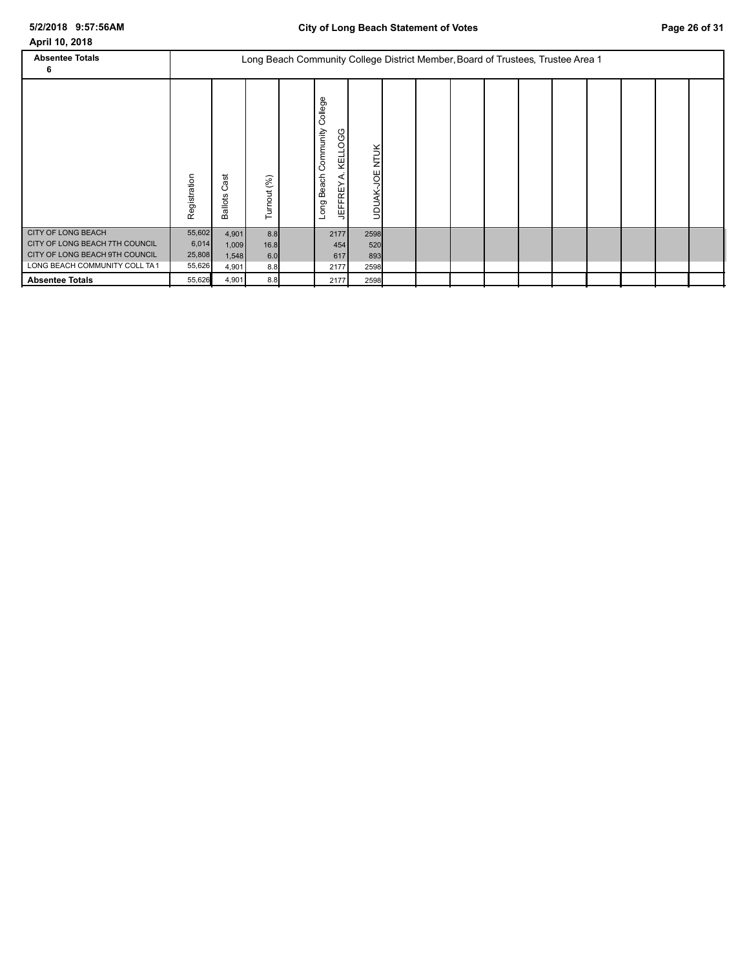| <b>Absentee Totals</b><br>6                                                                                             |                                     |                                  |                           |                                                                                | Long Beach Community College District Member, Board of Trustees, Trustee Area 1 |  |  |  |  |  |
|-------------------------------------------------------------------------------------------------------------------------|-------------------------------------|----------------------------------|---------------------------|--------------------------------------------------------------------------------|---------------------------------------------------------------------------------|--|--|--|--|--|
|                                                                                                                         | Registration                        | ast<br>ပ<br><b>Ballots</b>       | Turnout (%)               | College<br>Community<br><b>KELLOGG</b><br>Beach<br>⋖<br><b>JEFFREY</b><br>Long | <b>NTUK</b><br>ξ<br><b>UDUAK</b>                                                |  |  |  |  |  |
| CITY OF LONG BEACH<br>CITY OF LONG BEACH 7TH COUNCIL<br>CITY OF LONG BEACH 9TH COUNCIL<br>LONG BEACH COMMUNITY COLL TA1 | 55,602<br>6,014<br>25,808<br>55,626 | 4,901<br>1,009<br>1,548<br>4,901 | 8.8<br>16.8<br>6.0<br>8.8 | 2177<br>454<br>617<br>2177                                                     | 2598<br>520<br>893<br>2598                                                      |  |  |  |  |  |
| <b>Absentee Totals</b>                                                                                                  | 55,626                              | 4,901                            | 8.8                       | 2177                                                                           | 2598                                                                            |  |  |  |  |  |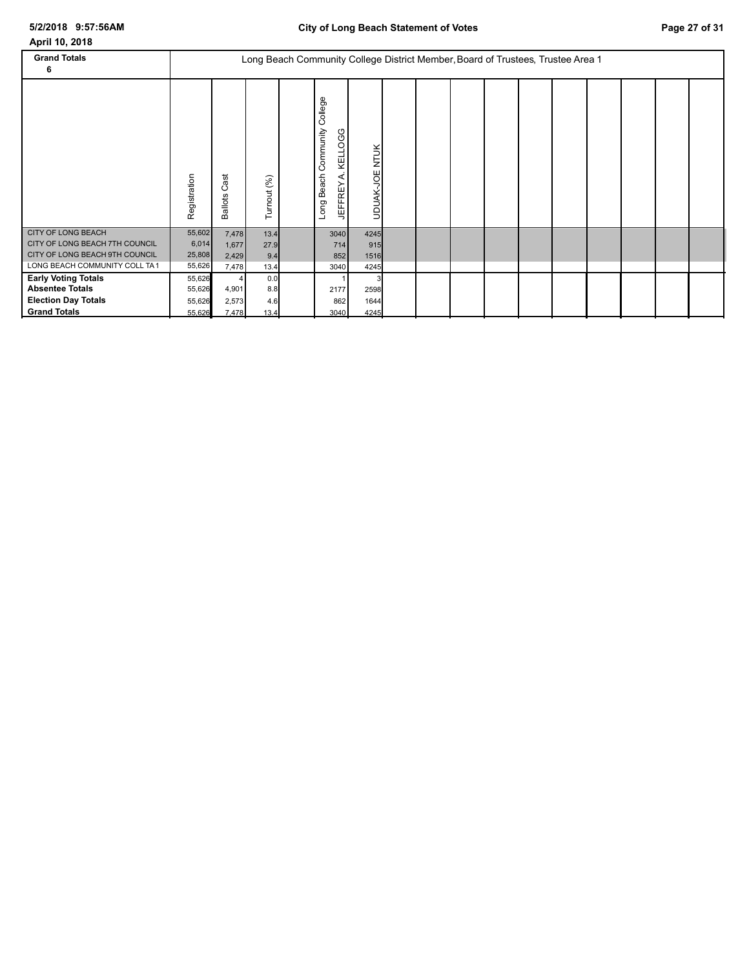| <b>Grand Totals</b><br>6                                                                                  |                                      |                          |                           | Long Beach Community College District Member, Board of Trustees, Trustee Area 1 |                                                                                   |                      |  |  |  |  |  |
|-----------------------------------------------------------------------------------------------------------|--------------------------------------|--------------------------|---------------------------|---------------------------------------------------------------------------------|-----------------------------------------------------------------------------------|----------------------|--|--|--|--|--|
|                                                                                                           | Registration                         | æ<br>ပ<br><b>Ballots</b> | Turnout (%)               |                                                                                 | College<br>Community<br><b>KELLOGG</b><br>Beach<br>⋖<br><b>JEFFREY</b><br>$L$ ong | UDUAK-JOE NTUK       |  |  |  |  |  |
| CITY OF LONG BEACH<br>CITY OF LONG BEACH 7TH COUNCIL<br>CITY OF LONG BEACH 9TH COUNCIL                    | 55,602<br>6,014<br>25,808            | 7,478<br>1,677<br>2,429  | 13.4<br>27.9<br>9.4       |                                                                                 | 3040<br>714<br>852                                                                | 4245<br>915<br>1516  |  |  |  |  |  |
| LONG BEACH COMMUNITY COLL TA1                                                                             | 55,626                               | 7,478                    | 13.4                      |                                                                                 | 3040                                                                              | 4245                 |  |  |  |  |  |
| <b>Early Voting Totals</b><br><b>Absentee Totals</b><br><b>Election Day Totals</b><br><b>Grand Totals</b> | 55,626<br>55,626<br>55,626<br>55,626 | 4,901<br>2,573<br>7,478  | 0.0<br>8.8<br>4.6<br>13.4 |                                                                                 | 2177<br>862<br>3040                                                               | 2598<br>1644<br>4245 |  |  |  |  |  |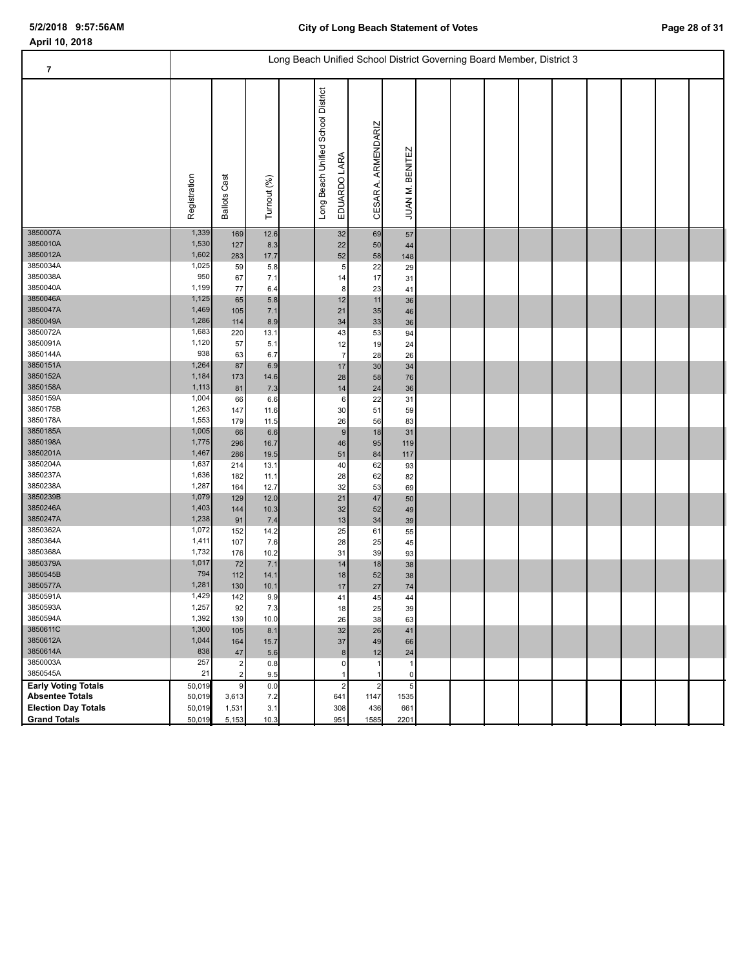| $\overline{7}$             |                |                     |              |                                                       | Long Beach Unified School District Governing Board Member, District 3 |                           |  |  |  |  |  |
|----------------------------|----------------|---------------------|--------------|-------------------------------------------------------|-----------------------------------------------------------------------|---------------------------|--|--|--|--|--|
|                            | Registration   | <b>Ballots Cast</b> | Turnout (%)  | Long Beach Unified School District<br>LARA<br>EDUARDO | ARMENDARIZ<br>CESAR A.                                                | <b>BENITEZ</b><br>JUAN M. |  |  |  |  |  |
| 3850007A<br>3850010A       | 1,339<br>1,530 | 169<br>127          | 12.6<br>8.3  | 32<br>22                                              | 69<br>50                                                              | 57<br>44                  |  |  |  |  |  |
| 3850012A                   | 1,602          | 283                 | 17.7         | 52                                                    | 58                                                                    | 148                       |  |  |  |  |  |
| 3850034A                   | 1,025          | 59                  | 5.8          | $\sqrt{5}$                                            | 22                                                                    | 29                        |  |  |  |  |  |
| 3850038A                   | 950            | 67                  | 7.1          | 14                                                    | 17                                                                    | 31                        |  |  |  |  |  |
| 3850040A                   | 1,199          | 77                  | 6.4          | 8                                                     | 23                                                                    | 41                        |  |  |  |  |  |
| 3850046A                   | 1,125          | 65                  | 5.8          | 12                                                    | 11                                                                    | 36                        |  |  |  |  |  |
| 3850047A                   | 1,469          | 105                 | 7.1          | 21                                                    | 35                                                                    | 46                        |  |  |  |  |  |
| 3850049A                   | 1,286          | 114                 | 8.9          | 34                                                    | 33                                                                    | 36                        |  |  |  |  |  |
| 3850072A<br>3850091A       | 1,683          | 220                 | 13.1         | 43                                                    | 53                                                                    | 94                        |  |  |  |  |  |
| 3850144A                   | 1,120<br>938   | 57<br>63            | 5.1          | 12<br>$\overline{7}$                                  | 19                                                                    | 24                        |  |  |  |  |  |
| 3850151A                   | 1,264          | 87                  | 6.7<br>6.9   | 17                                                    | 28<br>30                                                              | 26<br>34                  |  |  |  |  |  |
| 3850152A                   | 1,184          | 173                 | 14.6         | 28                                                    | 58                                                                    | 76                        |  |  |  |  |  |
| 3850158A                   | 1,113          | 81                  | 7.3          | 14                                                    | 24                                                                    | 36                        |  |  |  |  |  |
| 3850159A                   | 1,004          | 66                  | 6.6          | 6                                                     | 22                                                                    | 31                        |  |  |  |  |  |
| 3850175B                   | 1,263          | 147                 | 11.6         | 30                                                    | 51                                                                    | 59                        |  |  |  |  |  |
| 3850178A                   | 1,553          | 179                 | 11.5         | 26                                                    | 56                                                                    | 83                        |  |  |  |  |  |
| 3850185A                   | 1,005          | 66                  | 6.6          | $\boldsymbol{9}$                                      | 18                                                                    | 31                        |  |  |  |  |  |
| 3850198A                   | 1,775          | 296                 | 16.7         | 46                                                    | 95                                                                    | 119                       |  |  |  |  |  |
| 3850201A                   | 1,467          | 286                 | 19.5         | 51                                                    | 84                                                                    | $117$                     |  |  |  |  |  |
| 3850204A                   | 1,637          | 214                 | 13.1         | 40                                                    | 62                                                                    | 93                        |  |  |  |  |  |
| 3850237A<br>3850238A       | 1,636<br>1,287 | 182                 | 11.1         | 28                                                    | 62                                                                    | 82                        |  |  |  |  |  |
| 3850239B                   | 1,079          | 164<br>129          | 12.7<br>12.0 | 32<br>21                                              | 53<br>47                                                              | 69<br>50                  |  |  |  |  |  |
| 3850246A                   | 1,403          | 144                 | 10.3         | 32                                                    | 52                                                                    | 49                        |  |  |  |  |  |
| 3850247A                   | 1,238          | 91                  | 7.4          | 13                                                    | 34                                                                    | 39                        |  |  |  |  |  |
| 3850362A                   | 1,072          | 152                 | 14.2         | 25                                                    | 61                                                                    | 55                        |  |  |  |  |  |
| 3850364A                   | 1,411          | 107                 | 7.6          | 28                                                    | 25                                                                    | 45                        |  |  |  |  |  |
| 3850368A                   | 1,732          | 176                 | 10.2         | 31                                                    | 39                                                                    | 93                        |  |  |  |  |  |
| 3850379A                   | 1,017          | 72                  | 7.1          | 14                                                    | 18                                                                    | 38                        |  |  |  |  |  |
| 3850545B                   | 794            | 112                 | 14.1         | 18                                                    | 52                                                                    | 38                        |  |  |  |  |  |
| 3850577A                   | 1,281<br>1,429 | 130                 | 10.1         | 17                                                    | 27                                                                    | 74                        |  |  |  |  |  |
| 3850591A<br>3850593A       | 1,257          | 142                 | 9.9          | 41                                                    | 45                                                                    | 44                        |  |  |  |  |  |
| 3850594A                   | 1,392          | 92<br>139           | 7.3<br>10.0  | 18<br>26                                              | 25<br>38                                                              | 39<br>63                  |  |  |  |  |  |
| 3850611C                   | 1,300          | 105                 | 8.1          | 32                                                    | 26                                                                    | 41                        |  |  |  |  |  |
| 3850612A                   | 1,044          | 164                 | 15.7         | 37                                                    | 49                                                                    | 66                        |  |  |  |  |  |
| 3850614A                   | 838            | 47                  | 5.6          | $\bf 8$                                               | 12                                                                    | 24                        |  |  |  |  |  |
| 3850003A                   | 257            | $\sqrt{2}$          | 0.8          | $\pmb{0}$                                             |                                                                       | $\mathbf{1}$              |  |  |  |  |  |
| 3850545A                   | 21             | $\mathbf 2$         | 9.5          | $\mathbf{1}$                                          |                                                                       | $\mathbf{0}$              |  |  |  |  |  |
| <b>Early Voting Totals</b> | 50,019         | $\boldsymbol{9}$    | 0.0          | $\mathbf 2$                                           | 2                                                                     | 5 <sup>1</sup>            |  |  |  |  |  |
| <b>Absentee Totals</b>     | 50,019         | 3,613               | 7.2          | 641                                                   | 1147                                                                  | 1535                      |  |  |  |  |  |
| <b>Election Day Totals</b> | 50,019         | 1,531               | 3.1          | 308                                                   | 436                                                                   | 661                       |  |  |  |  |  |
| <b>Grand Totals</b>        | 50,019         | 5,153               | 10.3         | 951                                                   | 1585                                                                  | 2201                      |  |  |  |  |  |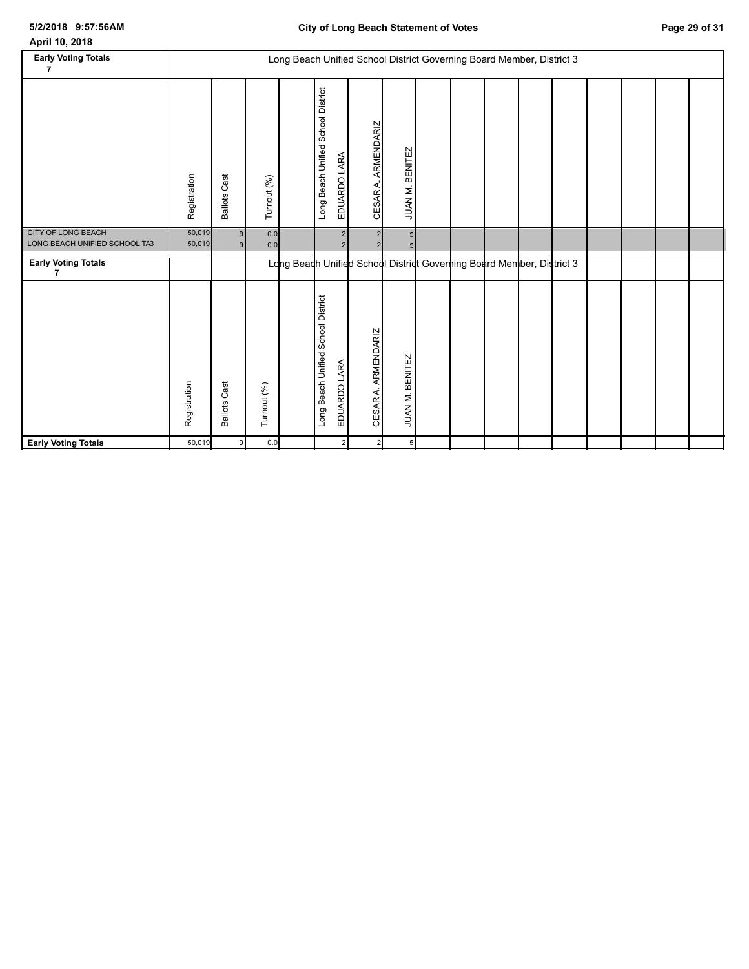| April 10, 2018 |  |
|----------------|--|
|                |  |

| <b>Early Voting Totals</b><br>7                            |                  |                                  |             |                                                    | Long Beach Unified School District Governing Board Member, District 3 |                        |  |  |  |  |  |
|------------------------------------------------------------|------------------|----------------------------------|-------------|----------------------------------------------------|-----------------------------------------------------------------------|------------------------|--|--|--|--|--|
|                                                            | Registration     | <b>Ballots Cast</b>              | Turnout (%) | Long Beach Unified School District<br>EDUARDO LARA | ARMENDARIZ<br>CESAR A.                                                | JUAN M. BENITEZ        |  |  |  |  |  |
| <b>CITY OF LONG BEACH</b><br>LONG BEACH UNIFIED SCHOOL TA3 | 50,019<br>50,019 | $\boldsymbol{9}$<br>$\mathbf{g}$ | 0.0<br>0.0  | $\overline{2}$                                     |                                                                       | 5 <sub>1</sub>         |  |  |  |  |  |
| <b>Early Voting Totals</b><br>7                            |                  |                                  |             |                                                    | Long Beach Unified School District Governing Board Member, District 3 |                        |  |  |  |  |  |
|                                                            | Registration     | <b>Ballots Cast</b>              | Turnout (%) | Long Beach Unified School District<br>EDUARDO LARA | ARMENDARIZ<br>CESAR A.                                                | <b>JUAN M. BENITEZ</b> |  |  |  |  |  |
| <b>Early Voting Totals</b>                                 | 50,019           | 9                                | 0.0         | 2 <sup>1</sup>                                     | $2 \blacksquare$                                                      | 5                      |  |  |  |  |  |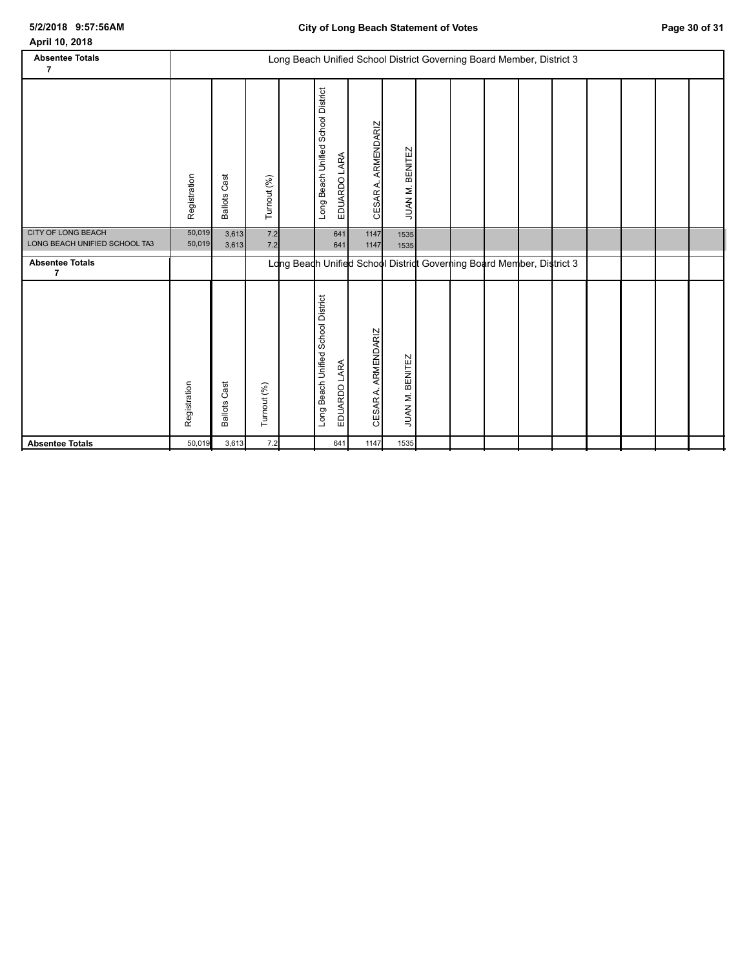| <b>Absentee Totals</b><br>$\overline{7}$                   |                  |                     |             | Long Beach Unified School District Governing Board Member, District 3 |              |                        |                        |  |  |  |  |  |
|------------------------------------------------------------|------------------|---------------------|-------------|-----------------------------------------------------------------------|--------------|------------------------|------------------------|--|--|--|--|--|
|                                                            | Registration     | <b>Ballots Cast</b> | Turnout (%) | Long Beach Unified School District                                    | EDUARDO LARA | ARMENDARIZ<br>CESAR A. | <b>JUAN M. BENITEZ</b> |  |  |  |  |  |
| <b>CITY OF LONG BEACH</b><br>LONG BEACH UNIFIED SCHOOL TA3 | 50,019<br>50,019 | 3,613<br>3,613      | 7.2<br>7.2  |                                                                       | 641<br>641   | 1147<br>1147           | 1535<br>1535           |  |  |  |  |  |
| <b>Absentee Totals</b><br>7                                |                  |                     |             | Long Beach Unified School District Governing Board Member, District 3 |              |                        |                        |  |  |  |  |  |
|                                                            | Registration     | <b>Ballots Cast</b> | Turnout (%) | Long Beach Unified School District                                    | EDUARDO LARA | ARMENDARIZ<br>CESAR A. | JUAN M. BENITEZ        |  |  |  |  |  |
| <b>Absentee Totals</b>                                     | 50,019           | 3,613               | 7.2         |                                                                       | 641          | 1147                   | 1535                   |  |  |  |  |  |